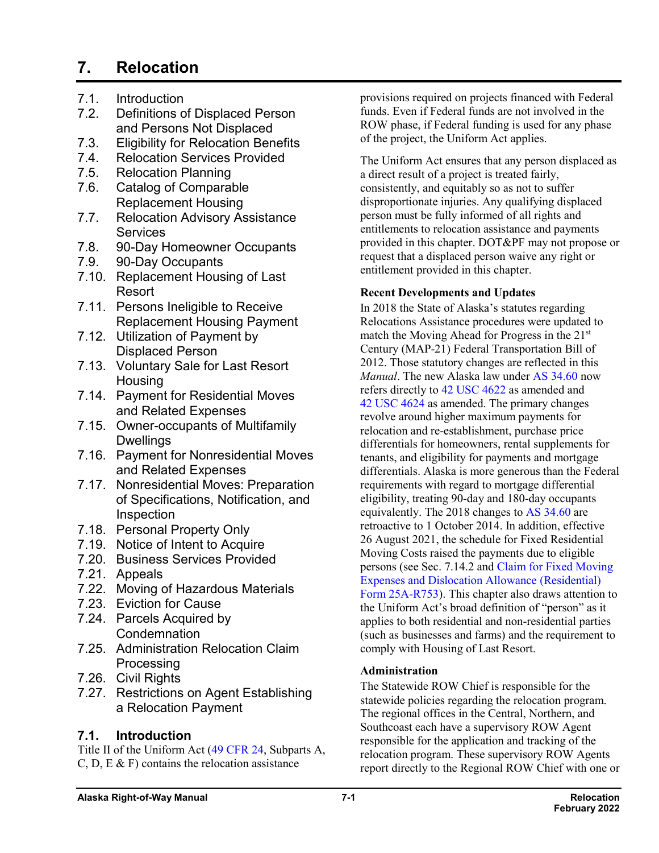# **7. Relocation**

- 7.1. Introduction<br>7.2. Definitions o
- Definitions of Displaced Person and Persons Not Displaced
- 7.3. Eligibility for Relocation Benefits
- 7.4. Relocation Services Provided
- 7.5. Relocation Planning
- 7.6. Catalog of Comparable Replacement Housing
- 7.7. Relocation Advisory Assistance **Services**
- 7.8. 90-Day Homeowner Occupants
- 7.9. 90-Day Occupants
- 7.10. Replacement Housing of Last Resort
- 7.11. Persons Ineligible to Receive Replacement Housing Payment
- 7.12. Utilization of Payment by Displaced Person
- 7.13. Voluntary Sale for Last Resort Housing
- 7.14. Payment for Residential Moves and Related Expenses
- 7.15. Owner-occupants of Multifamily **Dwellings**
- 7.16. Payment for Nonresidential Moves and Related Expenses
- 7.17. Nonresidential Moves: Preparation of Specifications, Notification, and Inspection
- 7.18. Personal Property Only
- 7.19. Notice of Intent to Acquire
- 7.20. Business Services Provided
- 7.21. Appeals
- 7.22. Moving of Hazardous Materials
- 7.23. Eviction for Cause
- 7.24. Parcels Acquired by **Condemnation**
- 7.25. Administration Relocation Claim **Processing**
- 7.26. Civil Rights
- 7.27. Restrictions on Agent Establishing a Relocation Payment

### **7.1. Introduction**

Title II of the Uniform Act (49 [CFR](http://www.ecfr.gov/cgi-bin/text-idx?SID=0a69dd150132722ec354f992c81a1f91&mc=true&node=pt49.1.24&rgn=div5) 24, Subparts A, C, D, E  $\&$  F) contains the relocation assistance

provisions required on projects financed with Federal funds. Even if Federal funds are not involved in the ROW phase, if Federal funding is used for any phase of the project, the Uniform Act applies.

The Uniform Act ensures that any person displaced as a direct result of a project is treated fairly, consistently, and equitably so as not to suffer disproportionate injuries. Any qualifying displaced person must be fully informed of all rights and entitlements to relocation assistance and payments provided in this chapter. DOT&PF may not propose or request that a displaced person waive any right or entitlement provided in this chapter.

#### **Recent Developments and Updates**

In 2018 the State of Alaska's statutes regarding Relocations Assistance procedures were updated to match the Moving Ahead for Progress in the 21st Century (MAP-21) Federal Transportation Bill of 2012. Those statutory changes are reflected in this *Manual*. The new Alaska law under AS [34.60](http://www.akleg.gov/basis/statutes.asp#34.60) now refers directly to 42 USC [4622](http://uscode.house.gov/view.xhtml?req=(title:42%20section:4622%20%20edition:prelim)%20OR%20(granuleid:USC-prelim-title42-section4622%20)&f=treesort&edition=prelim&num=0&jumpTo=true) as amended and 42 USC [4624](http://uscode.house.gov/view.xhtml?req=(title:42%20section:4624%20edition:prelim)%20OR%20(granuleid:USC-prelim-title42-section4624)&f=treesort&edition=prelim&num=0&jumpTo=true) as amended. The primary changes revolve around higher maximum payments for relocation and re-establishment, purchase price differentials for homeowners, rental supplements for tenants, and eligibility for payments and mortgage differentials. Alaska is more generous than the Federal requirements with regard to mortgage differential eligibility, treating 90-day and 180-day occupants equivalently. The 2018 changes to AS [34.60](http://www.akleg.gov/basis/statutes.asp#34.60) are retroactive to 1 October 2014. In addition, effective 26 August 2021, the schedule for Fixed Residential Moving Costs raised the payments due to eligible persons (see Sec. 7.14.2 and [Claim for Fixed Moving](http://www.dot.state.ak.us/stwddes/dcsrow/assets/pdf/forms/25ar753.pdf)  [Expenses and Dislocation Allowance \(Residential\)](http://www.dot.state.ak.us/stwddes/dcsrow/assets/pdf/forms/25ar753.pdf)  Form [25A-R753\)](http://www.dot.state.ak.us/stwddes/dcsrow/assets/pdf/forms/25ar753.pdf). This chapter also draws attention to the Uniform Act's broad definition of "person" as it applies to both residential and non-residential parties (such as businesses and farms) and the requirement to comply with Housing of Last Resort.

#### **Administration**

The Statewide ROW Chief is responsible for the statewide policies regarding the relocation program. The regional offices in the Central, Northern, and Southcoast each have a supervisory ROW Agent responsible for the application and tracking of the relocation program. These supervisory ROW Agents report directly to the Regional ROW Chief with one or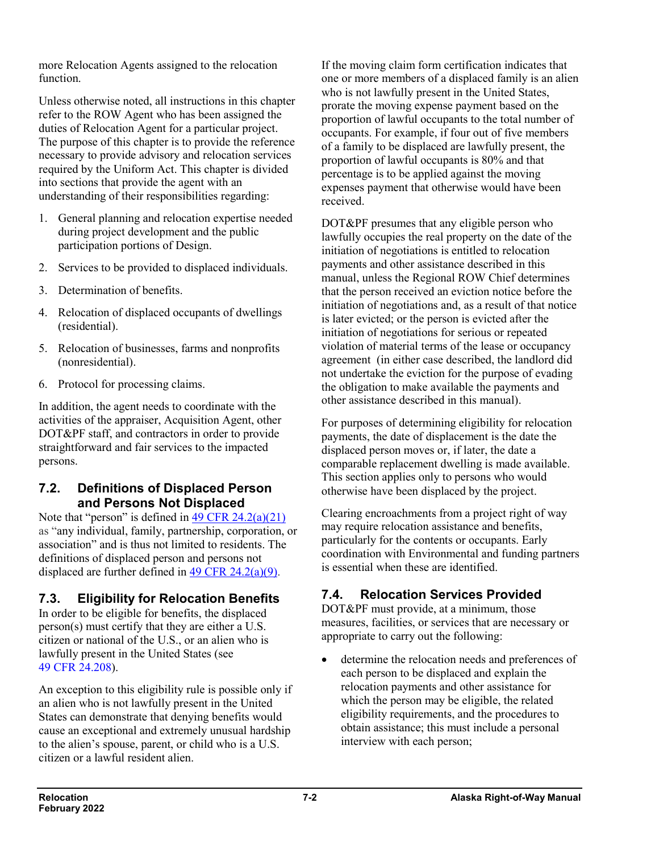more Relocation Agents assigned to the relocation function.

Unless otherwise noted, all instructions in this chapter refer to the ROW Agent who has been assigned the duties of Relocation Agent for a particular project. The purpose of this chapter is to provide the reference necessary to provide advisory and relocation services required by the Uniform Act. This chapter is divided into sections that provide the agent with an understanding of their responsibilities regarding:

- 1. General planning and relocation expertise needed during project development and the public participation portions of Design.
- 2. Services to be provided to displaced individuals.
- 3. Determination of benefits.
- 4. Relocation of displaced occupants of dwellings (residential).
- 5. Relocation of businesses, farms and nonprofits (nonresidential).
- 6. Protocol for processing claims.

In addition, the agent needs to coordinate with the activities of the appraiser, Acquisition Agent, other DOT&PF staff, and contractors in order to provide straightforward and fair services to the impacted persons.

# **7.2. Definitions of Displaced Person and Persons Not Displaced**

Note that "person" is defined in [49 CFR 24.2\(a\)\(21\)](https://www.ecfr.gov/current/title-49/subtitle-A/part-24#p-24.2(a)(21)) as "any individual, family, partnership, corporation, or association" and is thus not limited to residents. The definitions of displaced person and persons not displaced are further defined in [49 CFR 24.2\(a\)\(9\).](https://www.ecfr.gov/current/title-49/subtitle-A/part-24#p-24.2(a)(21))

# **7.3. Eligibility for Relocation Benefits**

In order to be eligible for benefits, the displaced person(s) must certify that they are either a U.S. citizen or national of the U.S., or an alien who is lawfully present in the United States (see 49 CFR [24.208\)](https://www.ecfr.gov/cgi-bin/text-idx?SID=0a69dd150132722ec354f992c81a1f91&mc=true&node=pt49.1.24&rgn=div5#se49.1.24_1208).

An exception to this eligibility rule is possible only if an alien who is not lawfully present in the United States can demonstrate that denying benefits would cause an exceptional and extremely unusual hardship to the alien's spouse, parent, or child who is a U.S. citizen or a lawful resident alien.

If the moving claim form certification indicates that one or more members of a displaced family is an alien who is not lawfully present in the United States, prorate the moving expense payment based on the proportion of lawful occupants to the total number of occupants. For example, if four out of five members of a family to be displaced are lawfully present, the proportion of lawful occupants is 80% and that percentage is to be applied against the moving expenses payment that otherwise would have been received.

DOT&PF presumes that any eligible person who lawfully occupies the real property on the date of the initiation of negotiations is entitled to relocation payments and other assistance described in this manual, unless the Regional ROW Chief determines that the person received an eviction notice before the initiation of negotiations and, as a result of that notice is later evicted; or the person is evicted after the initiation of negotiations for serious or repeated violation of material terms of the lease or occupancy agreement (in either case described, the landlord did not undertake the eviction for the purpose of evading the obligation to make available the payments and other assistance described in this manual).

For purposes of determining eligibility for relocation payments, the date of displacement is the date the displaced person moves or, if later, the date a comparable replacement dwelling is made available. This section applies only to persons who would otherwise have been displaced by the project.

Clearing encroachments from a project right of way may require relocation assistance and benefits, particularly for the contents or occupants. Early coordination with Environmental and funding partners is essential when these are identified.

# **7.4. Relocation Services Provided**

DOT&PF must provide, at a minimum, those measures, facilities, or services that are necessary or appropriate to carry out the following:

• determine the relocation needs and preferences of each person to be displaced and explain the relocation payments and other assistance for which the person may be eligible, the related eligibility requirements, and the procedures to obtain assistance; this must include a personal interview with each person;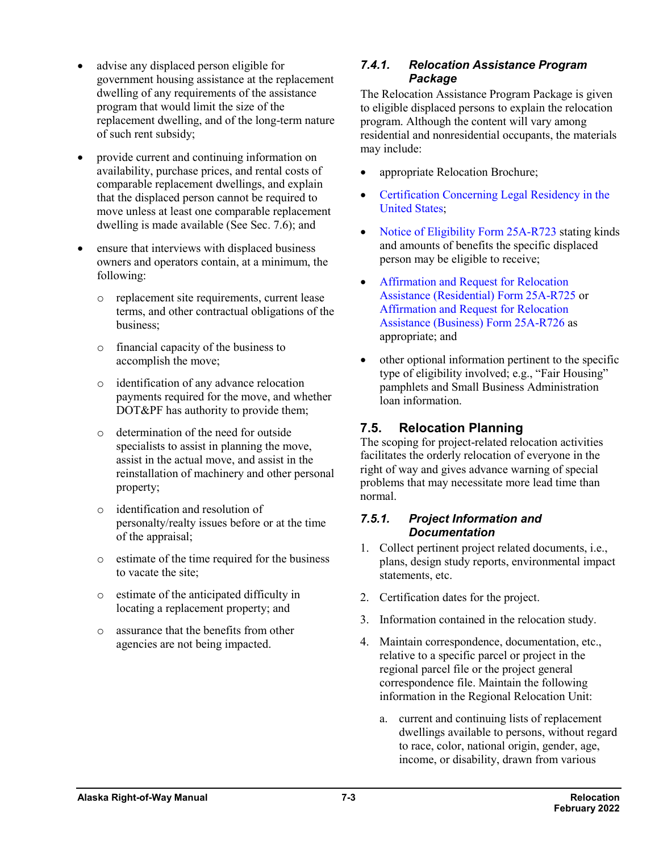- advise any displaced person eligible for government housing assistance at the replacement dwelling of any requirements of the assistance program that would limit the size of the replacement dwelling, and of the long-term nature of such rent subsidy;
- provide current and continuing information on availability, purchase prices, and rental costs of comparable replacement dwellings, and explain that the displaced person cannot be required to move unless at least one comparable replacement dwelling is made available (See Sec. 7.6); and
- ensure that interviews with displaced business owners and operators contain, at a minimum, the following:
	- o replacement site requirements, current lease terms, and other contractual obligations of the business;
	- o financial capacity of the business to accomplish the move;
	- o identification of any advance relocation payments required for the move, and whether DOT&PF has authority to provide them;
	- o determination of the need for outside specialists to assist in planning the move, assist in the actual move, and assist in the reinstallation of machinery and other personal property;
	- o identification and resolution of personalty/realty issues before or at the time of the appraisal;
	- o estimate of the time required for the business to vacate the site;
	- o estimate of the anticipated difficulty in locating a replacement property; and
	- o assurance that the benefits from other agencies are not being impacted.

### *7.4.1. Relocation Assistance Program Package*

The Relocation Assistance Program Package is given to eligible displaced persons to explain the relocation program. Although the content will vary among residential and nonresidential occupants, the materials may include:

- appropriate Relocation Brochure;
- [Certification Concerning Legal Residency in the](http://www.dot.state.ak.us/stwddes/dcsrow/assets/pdf/forms/25ar781.pdf)  [United States;](http://www.dot.state.ak.us/stwddes/dcsrow/assets/pdf/forms/25ar781.pdf)
- [Notice of Eligibility Form](http://www.dot.state.ak.us/stwddes/dcsrow/assets/pdf/forms/25ar723.pdf) 25A-R723 stating kinds and amounts of benefits the specific displaced person may be eligible to receive;
- [Affirmation and Request for Relocation](http://www.dot.state.ak.us/stwddes/dcsrow/assets/pdf/forms/25ar725.pdf)  Assistance [\(Residential\)](http://www.dot.state.ak.us/stwddes/dcsrow/assets/pdf/forms/25ar725.pdf) Form 25A-R725 or [Affirmation and Request for Relocation](http://www.dot.state.ak.us/stwddes/dcsrow/assets/pdf/forms/25ar726.pdf)  [Assistance \(Business\) Form](http://www.dot.state.ak.us/stwddes/dcsrow/assets/pdf/forms/25ar726.pdf) 25A-R726 as appropriate; and
- other optional information pertinent to the specific type of eligibility involved; e.g., "Fair Housing" pamphlets and Small Business Administration loan information.

# **7.5. Relocation Planning**

The scoping for project-related relocation activities facilitates the orderly relocation of everyone in the right of way and gives advance warning of special problems that may necessitate more lead time than normal.

#### *7.5.1. Project Information and Documentation*

- 1. Collect pertinent project related documents, i.e., plans, design study reports, environmental impact statements, etc.
- 2. Certification dates for the project.
- 3. Information contained in the relocation study.
- 4. Maintain correspondence, documentation, etc., relative to a specific parcel or project in the regional parcel file or the project general correspondence file. Maintain the following information in the Regional Relocation Unit:
	- a. current and continuing lists of replacement dwellings available to persons, without regard to race, color, national origin, gender, age, income, or disability, drawn from various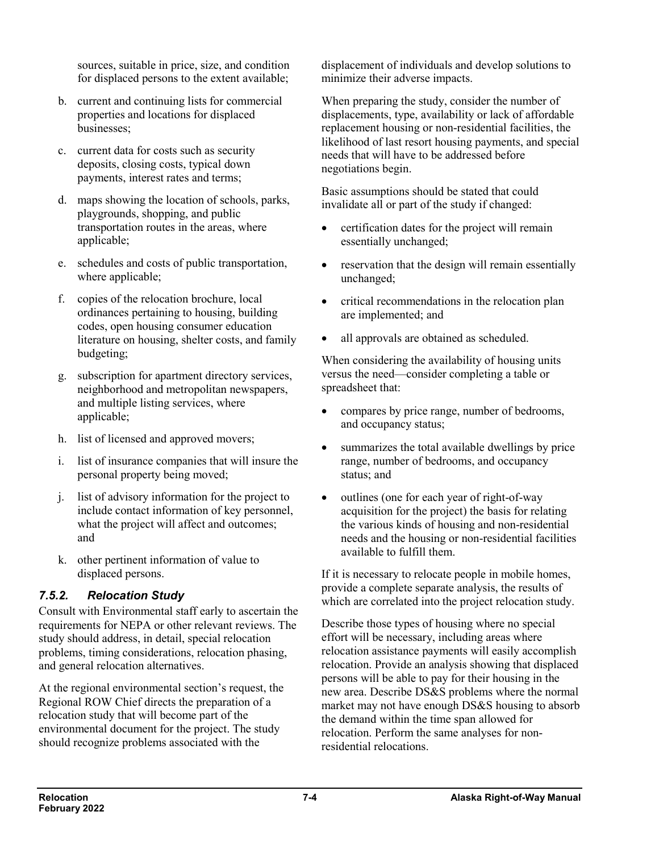sources, suitable in price, size, and condition for displaced persons to the extent available;

- b. current and continuing lists for commercial properties and locations for displaced businesses;
- c. current data for costs such as security deposits, closing costs, typical down payments, interest rates and terms;
- d. maps showing the location of schools, parks, playgrounds, shopping, and public transportation routes in the areas, where applicable;
- e. schedules and costs of public transportation, where applicable;
- f. copies of the relocation brochure, local ordinances pertaining to housing, building codes, open housing consumer education literature on housing, shelter costs, and family budgeting;
- g. subscription for apartment directory services, neighborhood and metropolitan newspapers, and multiple listing services, where applicable:
- h. list of licensed and approved movers;
- i. list of insurance companies that will insure the personal property being moved;
- j. list of advisory information for the project to include contact information of key personnel, what the project will affect and outcomes; and
- k. other pertinent information of value to displaced persons.

### *7.5.2. Relocation Study*

Consult with Environmental staff early to ascertain the requirements for NEPA or other relevant reviews. The study should address, in detail, special relocation problems, timing considerations, relocation phasing, and general relocation alternatives.

At the regional environmental section's request, the Regional ROW Chief directs the preparation of a relocation study that will become part of the environmental document for the project. The study should recognize problems associated with the

displacement of individuals and develop solutions to minimize their adverse impacts.

When preparing the study, consider the number of displacements, type, availability or lack of affordable replacement housing or non-residential facilities, the likelihood of last resort housing payments, and special needs that will have to be addressed before negotiations begin.

Basic assumptions should be stated that could invalidate all or part of the study if changed:

- certification dates for the project will remain essentially unchanged;
- reservation that the design will remain essentially unchanged;
- critical recommendations in the relocation plan are implemented; and
- all approvals are obtained as scheduled.

When considering the availability of housing units versus the need—consider completing a table or spreadsheet that:

- compares by price range, number of bedrooms, and occupancy status;
- summarizes the total available dwellings by price range, number of bedrooms, and occupancy status; and
- outlines (one for each year of right-of-way acquisition for the project) the basis for relating the various kinds of housing and non-residential needs and the housing or non-residential facilities available to fulfill them.

If it is necessary to relocate people in mobile homes, provide a complete separate analysis, the results of which are correlated into the project relocation study.

Describe those types of housing where no special effort will be necessary, including areas where relocation assistance payments will easily accomplish relocation. Provide an analysis showing that displaced persons will be able to pay for their housing in the new area. Describe DS&S problems where the normal market may not have enough DS&S housing to absorb the demand within the time span allowed for relocation. Perform the same analyses for nonresidential relocations.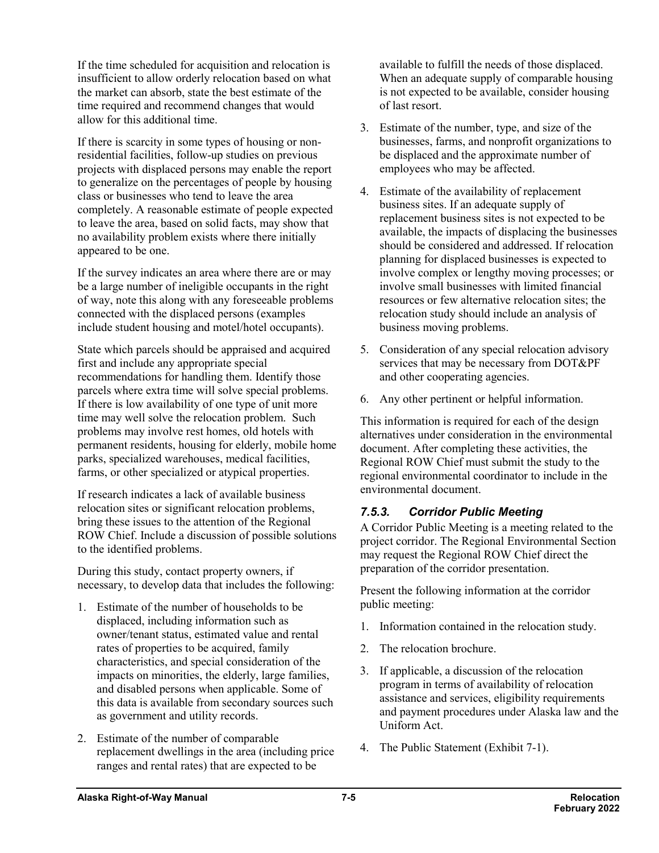If the time scheduled for acquisition and relocation is insufficient to allow orderly relocation based on what the market can absorb, state the best estimate of the time required and recommend changes that would allow for this additional time.

If there is scarcity in some types of housing or nonresidential facilities, follow-up studies on previous projects with displaced persons may enable the report to generalize on the percentages of people by housing class or businesses who tend to leave the area completely. A reasonable estimate of people expected to leave the area, based on solid facts, may show that no availability problem exists where there initially appeared to be one.

If the survey indicates an area where there are or may be a large number of ineligible occupants in the right of way, note this along with any foreseeable problems connected with the displaced persons (examples include student housing and motel/hotel occupants).

State which parcels should be appraised and acquired first and include any appropriate special recommendations for handling them. Identify those parcels where extra time will solve special problems. If there is low availability of one type of unit more time may well solve the relocation problem. Such problems may involve rest homes, old hotels with permanent residents, housing for elderly, mobile home parks, specialized warehouses, medical facilities, farms, or other specialized or atypical properties.

If research indicates a lack of available business relocation sites or significant relocation problems, bring these issues to the attention of the Regional ROW Chief. Include a discussion of possible solutions to the identified problems.

During this study, contact property owners, if necessary, to develop data that includes the following:

- 1. Estimate of the number of households to be displaced, including information such as owner/tenant status, estimated value and rental rates of properties to be acquired, family characteristics, and special consideration of the impacts on minorities, the elderly, large families, and disabled persons when applicable. Some of this data is available from secondary sources such as government and utility records.
- 2. Estimate of the number of comparable replacement dwellings in the area (including price ranges and rental rates) that are expected to be

available to fulfill the needs of those displaced. When an adequate supply of comparable housing is not expected to be available, consider housing of last resort.

- 3. Estimate of the number, type, and size of the businesses, farms, and nonprofit organizations to be displaced and the approximate number of employees who may be affected.
- 4. Estimate of the availability of replacement business sites. If an adequate supply of replacement business sites is not expected to be available, the impacts of displacing the businesses should be considered and addressed. If relocation planning for displaced businesses is expected to involve complex or lengthy moving processes; or involve small businesses with limited financial resources or few alternative relocation sites; the relocation study should include an analysis of business moving problems.
- 5. Consideration of any special relocation advisory services that may be necessary from DOT&PF and other cooperating agencies.
- 6. Any other pertinent or helpful information.

This information is required for each of the design alternatives under consideration in the environmental document. After completing these activities, the Regional ROW Chief must submit the study to the regional environmental coordinator to include in the environmental document.

### *7.5.3. Corridor Public Meeting*

A Corridor Public Meeting is a meeting related to the project corridor. The Regional Environmental Section may request the Regional ROW Chief direct the preparation of the corridor presentation.

Present the following information at the corridor public meeting:

- 1. Information contained in the relocation study.
- 2. The relocation brochure.
- 3. If applicable, a discussion of the relocation program in terms of availability of relocation assistance and services, eligibility requirements and payment procedures under Alaska law and the Uniform Act.
- 4. The Public Statement (Exhibit 7-1).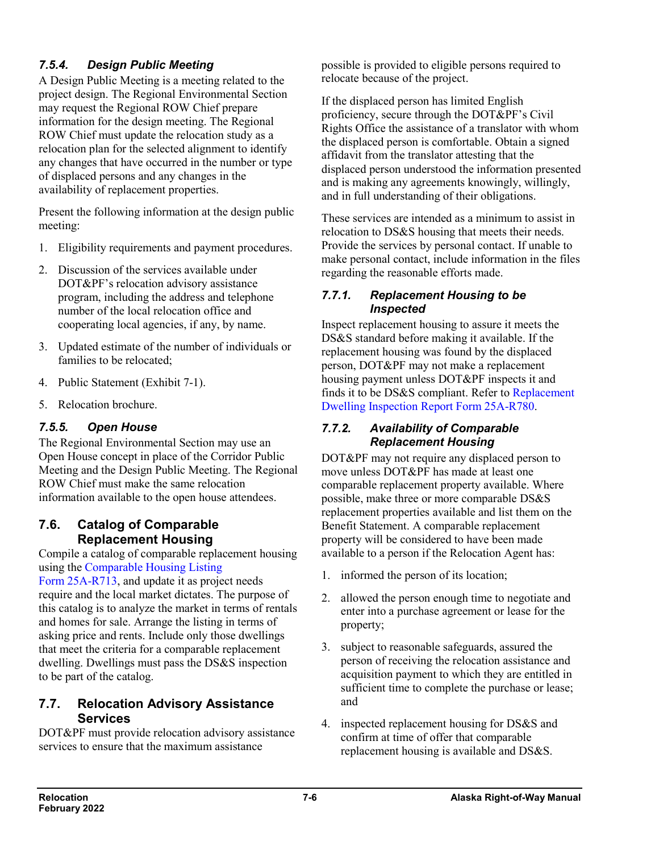# *7.5.4. Design Public Meeting*

A Design Public Meeting is a meeting related to the project design. The Regional Environmental Section may request the Regional ROW Chief prepare information for the design meeting. The Regional ROW Chief must update the relocation study as a relocation plan for the selected alignment to identify any changes that have occurred in the number or type of displaced persons and any changes in the availability of replacement properties.

Present the following information at the design public meeting:

- 1. Eligibility requirements and payment procedures.
- 2. Discussion of the services available under DOT&PF's relocation advisory assistance program, including the address and telephone number of the local relocation office and cooperating local agencies, if any, by name.
- 3. Updated estimate of the number of individuals or families to be relocated;
- 4. Public Statement (Exhibit 7-1).
- 5. Relocation brochure.

# *7.5.5. Open House*

The Regional Environmental Section may use an Open House concept in place of the Corridor Public Meeting and the Design Public Meeting. The Regional ROW Chief must make the same relocation information available to the open house attendees.

### **7.6. Catalog of Comparable Replacement Housing**

Compile a catalog of comparable replacement housing using the [Comparable Housing Listing](http://www.dot.state.ak.us/stwddes/dcsrow/assets/pdf/forms/25ar713.pdf) 

Form [25A-R713,](http://www.dot.state.ak.us/stwddes/dcsrow/assets/pdf/forms/25ar713.pdf) and update it as project needs require and the local market dictates. The purpose of this catalog is to analyze the market in terms of rentals and homes for sale. Arrange the listing in terms of asking price and rents. Include only those dwellings that meet the criteria for a comparable replacement dwelling. Dwellings must pass the DS&S inspection to be part of the catalog.

### **7.7. Relocation Advisory Assistance Services**

DOT&PF must provide relocation advisory assistance services to ensure that the maximum assistance

possible is provided to eligible persons required to relocate because of the project.

If the displaced person has limited English proficiency, secure through the DOT&PF's Civil Rights Office the assistance of a translator with whom the displaced person is comfortable. Obtain a signed affidavit from the translator attesting that the displaced person understood the information presented and is making any agreements knowingly, willingly, and in full understanding of their obligations.

These services are intended as a minimum to assist in relocation to DS&S housing that meets their needs. Provide the services by personal contact. If unable to make personal contact, include information in the files regarding the reasonable efforts made.

#### *7.7.1. Replacement Housing to be Inspected*

Inspect replacement housing to assure it meets the DS&S standard before making it available. If the replacement housing was found by the displaced person, DOT&PF may not make a replacement housing payment unless DOT&PF inspects it and finds it to be DS&S compliant. Refer to [Replacement](http://www.dot.state.ak.us/stwddes/dcsrow/assets/pdf/forms/25ar780.pdf)  [Dwelling Inspection Report Form](http://www.dot.state.ak.us/stwddes/dcsrow/assets/pdf/forms/25ar780.pdf) 25A-R780.

#### *7.7.2. Availability of Comparable Replacement Housing*

DOT&PF may not require any displaced person to move unless DOT&PF has made at least one comparable replacement property available. Where possible, make three or more comparable DS&S replacement properties available and list them on the Benefit Statement. A comparable replacement property will be considered to have been made available to a person if the Relocation Agent has:

- 1. informed the person of its location;
- 2. allowed the person enough time to negotiate and enter into a purchase agreement or lease for the property;
- 3. subject to reasonable safeguards, assured the person of receiving the relocation assistance and acquisition payment to which they are entitled in sufficient time to complete the purchase or lease; and
- 4. inspected replacement housing for DS&S and confirm at time of offer that comparable replacement housing is available and DS&S.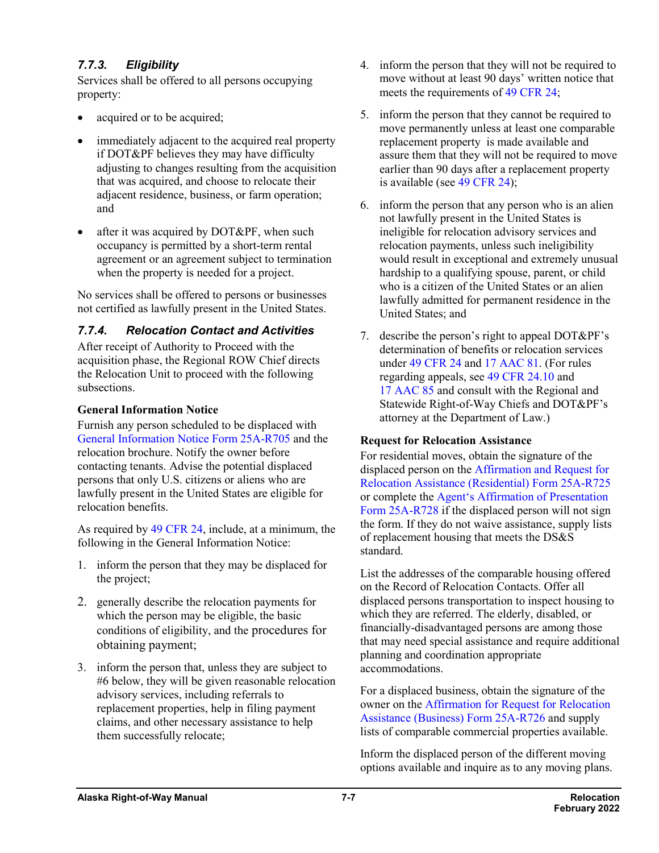# *7.7.3. Eligibility*

Services shall be offered to all persons occupying property:

- acquired or to be acquired;
- immediately adjacent to the acquired real property if DOT&PF believes they may have difficulty adjusting to changes resulting from the acquisition that was acquired, and choose to relocate their adjacent residence, business, or farm operation; and
- after it was acquired by DOT&PF, when such occupancy is permitted by a short-term rental agreement or an agreement subject to termination when the property is needed for a project.

No services shall be offered to persons or businesses not certified as lawfully present in the United States.

### *7.7.4. Relocation Contact and Activities*

After receipt of Authority to Proceed with the acquisition phase, the Regional ROW Chief directs the Relocation Unit to proceed with the following subsections.

#### **General Information Notice**

Furnish any person scheduled to be displaced with [General Information Notice Form](http://www.dot.state.ak.us/stwddes/dcsrow/assets/pdf/forms/25ar705.pdf) 25A-R705 and the relocation brochure. Notify the owner before contacting tenants. Advise the potential displaced persons that only U.S. citizens or aliens who are lawfully present in the United States are eligible for relocation benefits.

As required by 49 [CFR](http://www.ecfr.gov/cgi-bin/text-idx?SID=653591624e33345fff38d26309a6fa16&mc=true&node=pt49.1.24&rgn=div5) 24, include, at a minimum, the following in the General Information Notice:

- 1. inform the person that they may be displaced for the project;
- 2. generally describe the relocation payments for which the person may be eligible, the basic conditions of eligibility, and the procedures for obtaining payment;
- 3. inform the person that, unless they are subject to #6 below, they will be given reasonable relocation advisory services, including referrals to replacement properties, help in filing payment claims, and other necessary assistance to help them successfully relocate;
- 4. inform the person that they will not be required to move without at least 90 days' written notice that meets the requirements of 49 [CFR](https://www.ecfr.gov/cgi-bin/text-idx?SID=653591624e33345fff38d26309a6fa16&mc=true&node=pt49.1.24&rgn=div5) 24;
- 5. inform the person that they cannot be required to move permanently unless at least one comparable replacement property is made available and assure them that they will not be required to move earlier than 90 days after a replacement property is available (see 49 [CFR](https://www.ecfr.gov/cgi-bin/text-idx?SID=653591624e33345fff38d26309a6fa16&mc=true&node=pt49.1.24&rgn=div5) 24);
- 6. inform the person that any person who is an alien not lawfully present in the United States is ineligible for relocation advisory services and relocation payments, unless such ineligibility would result in exceptional and extremely unusual hardship to a qualifying spouse, parent, or child who is a citizen of the United States or an alien lawfully admitted for permanent residence in the United States; and
- 7. describe the person's right to appeal DOT&PF's determination of benefits or relocation services under 49 [CFR](https://www.ecfr.gov/cgi-bin/text-idx?SID=653591624e33345fff38d26309a6fa16&mc=true&node=pt49.1.24&rgn=div5) 24 and 17 [AAC](http://www.akleg.gov/basis/aac.asp#17.81) 81. (For rules regarding appeals, see 49 CFR [24.10](https://www.ecfr.gov/cgi-bin/retrieveECFR?gp=&SID=ef0cebd3b0b75e730b23dc09a695eaf6&mc=true&n=pt49.1.24&r=PART&ty=HTML#se49.1.24_110) and 17 [AAC](http://www.akleg.gov/basis/aac.asp#17.85) 85 and consult with the Regional and Statewide Right-of-Way Chiefs and DOT&PF's attorney at the Department of Law.)

#### **Request for Relocation Assistance**

For residential moves, obtain the signature of the displaced person on the [Affirmation and Request for](http://www.dot.state.ak.us/stwddes/dcsrow/assets/pdf/forms/25ar725.pdf)  [Relocation Assistance \(Residential\)](http://www.dot.state.ak.us/stwddes/dcsrow/assets/pdf/forms/25ar725.pdf) Form 25A-R725 or complete the [Agent's Affirmation of Presentation](http://www.dot.state.ak.us/stwddes/dcsrow/assets/pdf/forms/25ar728.pdf)  Form [25A-R728](http://www.dot.state.ak.us/stwddes/dcsrow/assets/pdf/forms/25ar728.pdf) if the displaced person will not sign the form. If they do not waive assistance, supply lists of replacement housing that meets the DS&S standard.

List the addresses of the comparable housing offered on the Record of Relocation Contacts. Offer all displaced persons transportation to inspect housing to which they are referred. The elderly, disabled, or financially-disadvantaged persons are among those that may need special assistance and require additional planning and coordination appropriate accommodations.

For a displaced business, obtain the signature of the owner on the [Affirmation for Request for Relocation](http://www.dot.state.ak.us/stwddes/dcsrow/assets/pdf/forms/25ar726.pdf)  [Assistance](http://www.dot.state.ak.us/stwddes/dcsrow/assets/pdf/forms/25ar726.pdf) (Business) Form 25A-R726 and supply lists of comparable commercial properties available.

Inform the displaced person of the different moving options available and inquire as to any moving plans.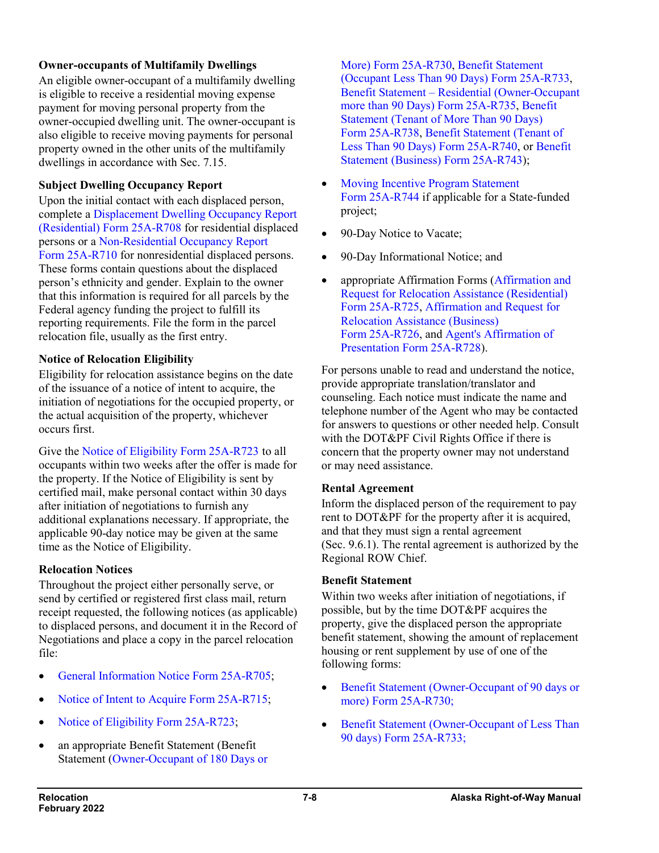#### **Owner-occupants of Multifamily Dwellings**

An eligible owner-occupant of a multifamily dwelling is eligible to receive a residential moving expense payment for moving personal property from the owner-occupied dwelling unit. The owner-occupant is also eligible to receive moving payments for personal property owned in the other units of the multifamily dwellings in accordance with Sec. 7.15.

#### **Subject Dwelling Occupancy Report**

Upon the initial contact with each displaced person, complete [a Displacement Dwelling Occupancy Report](http://www.dot.state.ak.us/stwddes/dcsrow/assets/pdf/forms/25ar708.pdf)  [\(Residential\) Form](http://www.dot.state.ak.us/stwddes/dcsrow/assets/pdf/forms/25ar708.pdf) 25A-R708 for residential displaced persons or a [Non-Residential Occupancy Report](http://www.dot.state.ak.us/stwddes/dcsrow/assets/pdf/forms/25ar710.pdf)  Form [25A-R710](http://www.dot.state.ak.us/stwddes/dcsrow/assets/pdf/forms/25ar710.pdf) for nonresidential displaced persons. These forms contain questions about the displaced person's ethnicity and gender. Explain to the owner that this information is required for all parcels by the Federal agency funding the project to fulfill its reporting requirements. File the form in the parcel relocation file, usually as the first entry.

#### **Notice of Relocation Eligibility**

Eligibility for relocation assistance begins on the date of the issuance of a notice of intent to acquire, the initiation of negotiations for the occupied property, or the actual acquisition of the property, whichever occurs first.

Give the [Notice of Eligibility Form](http://www.dot.state.ak.us/stwddes/dcsrow/assets/pdf/forms/25ar723.pdf) 25A-R723 to all occupants within two weeks after the offer is made for the property. If the Notice of Eligibility is sent by certified mail, make personal contact within 30 days after initiation of negotiations to furnish any additional explanations necessary. If appropriate, the applicable 90-day notice may be given at the same time as the Notice of Eligibility.

#### **Relocation Notices**

Throughout the project either personally serve, or send by certified or registered first class mail, return receipt requested, the following notices (as applicable) to displaced persons, and document it in the Record of Negotiations and place a copy in the parcel relocation file:

- [General Information Notice](http://www.dot.state.ak.us/stwddes/dcsrow/assets/pdf/forms/25ar705.pdf) Form 25A-R705;
- [Notice of Intent to Acquire](http://www.dot.state.ak.us/stwddes/dcsrow/assets/pdf/forms/25ar715.pdf) Form 25A-R715;
- [Notice of Eligibility](http://www.dot.state.ak.us/stwddes/dcsrow/assets/pdf/forms/25ar723.pdf) Form 25A-R723;
- an appropriate Benefit Statement (Benefit Statement [\(Owner-Occupant of 180 Days or](http://www.dot.state.ak.us/stwddes/dcsrow/assets/pdf/forms/25ar730.pdf)

[More\) Form](http://www.dot.state.ak.us/stwddes/dcsrow/assets/pdf/forms/25ar730.pdf) 25A-R730, [Benefit Statement](http://www.dot.state.ak.us/stwddes/dcsrow/assets/pdf/forms/25ar733.pdf)  [\(Occupant Less Than 90 Days\) Form](http://www.dot.state.ak.us/stwddes/dcsrow/assets/pdf/forms/25ar733.pdf) 25A-R733, Benefit Statement – [Residential \(Owner-Occupant](http://www.dot.state.ak.us/stwddes/dcsrow/assets/pdf/forms/25ar735.pdf)  [more than 90 Days\) Form](http://www.dot.state.ak.us/stwddes/dcsrow/assets/pdf/forms/25ar735.pdf) 25A-R735, [Benefit](http://www.dot.state.ak.us/stwddes/dcsrow/assets/pdf/forms/25ar738.pdf)  [Statement \(Tenant of More Than 90 Days\)](http://www.dot.state.ak.us/stwddes/dcsrow/assets/pdf/forms/25ar738.pdf)  Form [25A-R738,](http://www.dot.state.ak.us/stwddes/dcsrow/assets/pdf/forms/25ar738.pdf) [Benefit Statement \(Tenant of](http://www.dot.state.ak.us/stwddes/dcsrow/assets/pdf/forms/25ar740.pdf)  [Less Than 90 Days\) Form](http://www.dot.state.ak.us/stwddes/dcsrow/assets/pdf/forms/25ar740.pdf) 25A-R740, or [Benefit](http://www.dot.state.ak.us/stwddes/dcsrow/assets/pdf/forms/25ar743.pdf)  [Statement \(Business\) Form](http://www.dot.state.ak.us/stwddes/dcsrow/assets/pdf/forms/25ar743.pdf) 25A-R743);

- [Moving Incentive Program Statement](http://www.dot.state.ak.us/stwddes/dcsrow/assets/pdf/forms/25ar744.pdf) Form [25A-R744](http://www.dot.state.ak.us/stwddes/dcsrow/assets/pdf/forms/25ar744.pdf) if applicable for a State-funded project;
- 90-Day Notice to Vacate;
- 90-Day Informational Notice; and
- appropriate Affirmation Forms [\(Affirmation and](http://www.dot.state.ak.us/stwddes/dcsrow/assets/pdf/forms/25ar725.pdf)  [Request for Relocation Assistance \(Residential\)](http://www.dot.state.ak.us/stwddes/dcsrow/assets/pdf/forms/25ar725.pdf)  Form [25A-R725,](http://www.dot.state.ak.us/stwddes/dcsrow/assets/pdf/forms/25ar725.pdf) [Affirmation and Request for](http://www.dot.state.ak.us/stwddes/dcsrow/assets/pdf/forms/25ar726.pdf)  [Relocation Assistance \(Business\)](http://www.dot.state.ak.us/stwddes/dcsrow/assets/pdf/forms/25ar726.pdf) Form [25A-R726,](http://www.dot.state.ak.us/stwddes/dcsrow/assets/pdf/forms/25ar726.pdf) and [Agent's Affirmation of](http://www.dot.state.ak.us/stwddes/dcsrow/assets/pdf/forms/25ar728.pdf)  [Presentation Form](http://www.dot.state.ak.us/stwddes/dcsrow/assets/pdf/forms/25ar728.pdf) 25A-R728).

For persons unable to read and understand the notice, provide appropriate translation/translator and counseling. Each notice must indicate the name and telephone number of the Agent who may be contacted for answers to questions or other needed help. Consult with the DOT&PF Civil Rights Office if there is concern that the property owner may not understand or may need assistance.

#### **Rental Agreement**

Inform the displaced person of the requirement to pay rent to DOT&PF for the property after it is acquired, and that they must sign a rental agreement (Sec. 9.6.1). The rental agreement is authorized by the Regional ROW Chief.

#### **Benefit Statement**

Within two weeks after initiation of negotiations, if possible, but by the time DOT&PF acquires the property, give the displaced person the appropriate benefit statement, showing the amount of replacement housing or rent supplement by use of one of the following forms:

- Benefit Statement [\(Owner-Occupant of 90](http://www.dot.state.ak.us/stwddes/dcsrow/assets/pdf/forms/25ar730.pdf) days or more) Form [25A-R730;](http://www.dot.state.ak.us/stwddes/dcsrow/assets/pdf/forms/25ar730.pdf)
- Benefit Statement (Owner-Occupant of Less Than 90 days) Form [25A-R733;](http://www.dot.state.ak.us/stwddes/dcsrow/assets/pdf/forms/25ar733.pdf)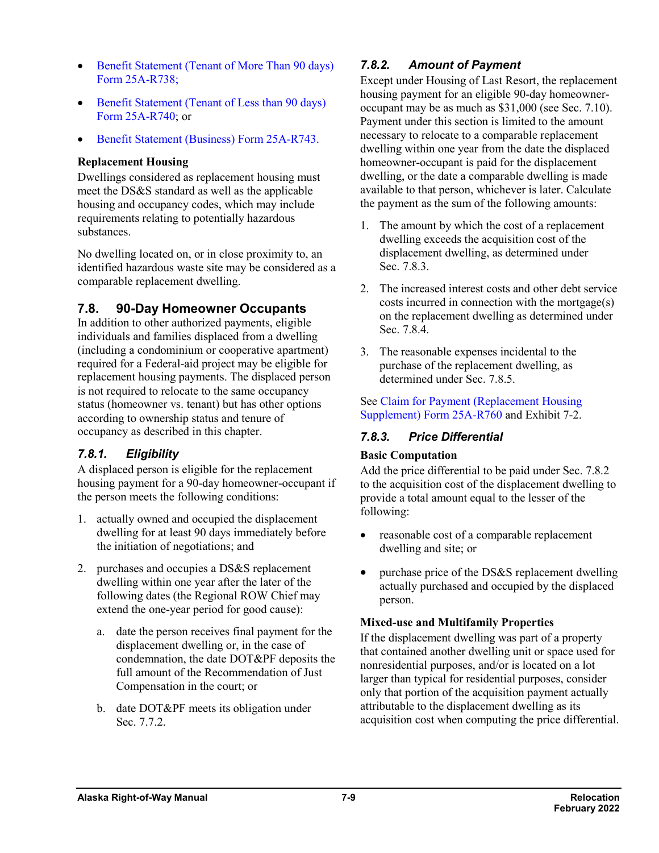- Benefit Statement [\(Tenant of More Than 90](http://www.dot.state.ak.us/stwddes/dcsrow/assets/pdf/forms/25ar738.pdf) days) Form [25A-R738;](http://www.dot.state.ak.us/stwddes/dcsrow/assets/pdf/forms/25ar738.pdf)
- [Benefit Statement \(Tenant of Less than 90](http://www.dot.state.ak.us/stwddes/dcsrow/assets/pdf/forms/25ar740.pdf) days) Form [25A-R740;](http://www.dot.state.ak.us/stwddes/dcsrow/assets/pdf/forms/25ar740.pdf) or
- [Benefit Statement \(Business\) Form](http://www.dot.state.ak.us/stwddes/dcsrow/assets/pdf/forms/25ar743.pdf) 25A-R743.

#### **Replacement Housing**

Dwellings considered as replacement housing must meet the DS&S standard as well as the applicable housing and occupancy codes, which may include requirements relating to potentially hazardous substances.

No dwelling located on, or in close proximity to, an identified hazardous waste site may be considered as a comparable replacement dwelling.

# **7.8. 90-Day Homeowner Occupants**

In addition to other authorized payments, eligible individuals and families displaced from a dwelling (including a condominium or cooperative apartment) required for a Federal-aid project may be eligible for replacement housing payments. The displaced person is not required to relocate to the same occupancy status (homeowner vs. tenant) but has other options according to ownership status and tenure of occupancy as described in this chapter.

# *7.8.1. Eligibility*

A displaced person is eligible for the replacement housing payment for a 90-day homeowner-occupant if the person meets the following conditions:

- 1. actually owned and occupied the displacement dwelling for at least 90 days immediately before the initiation of negotiations; and
- 2. purchases and occupies a DS&S replacement dwelling within one year after the later of the following dates (the Regional ROW Chief may extend the one-year period for good cause):
	- a. date the person receives final payment for the displacement dwelling or, in the case of condemnation, the date DOT&PF deposits the full amount of the Recommendation of Just Compensation in the court; or
	- b. date DOT&PF meets its obligation under Sec. 7.7.2.

### *7.8.2. Amount of Payment*

Except under Housing of Last Resort, the replacement housing payment for an eligible 90-day homeowneroccupant may be as much as \$31,000 (see Sec. 7.10). Payment under this section is limited to the amount necessary to relocate to a comparable replacement dwelling within one year from the date the displaced homeowner-occupant is paid for the displacement dwelling, or the date a comparable dwelling is made available to that person, whichever is later. Calculate the payment as the sum of the following amounts:

- 1. The amount by which the cost of a replacement dwelling exceeds the acquisition cost of the displacement dwelling, as determined under Sec. 7.8.3.
- 2. The increased interest costs and other debt service costs incurred in connection with the mortgage(s) on the replacement dwelling as determined under Sec. 7.8.4.
- 3. The reasonable expenses incidental to the purchase of the replacement dwelling, as determined under Sec. 7.8.5.

See [Claim for Payment \(Replacement Housing](http://www.dot.state.ak.us/stwddes/dcsrow/assets/pdf/forms/25ar760.pdf)  [Supplement\)](http://www.dot.state.ak.us/stwddes/dcsrow/assets/pdf/forms/25ar760.pdf) Form 25A-R760 and Exhibit 7-2.

### *7.8.3. Price Differential*

#### **Basic Computation**

Add the price differential to be paid under Sec. 7.8.2 to the acquisition cost of the displacement dwelling to provide a total amount equal to the lesser of the following:

- reasonable cost of a comparable replacement dwelling and site; or
- purchase price of the DS&S replacement dwelling actually purchased and occupied by the displaced person.

#### **Mixed-use and Multifamily Properties**

If the displacement dwelling was part of a property that contained another dwelling unit or space used for nonresidential purposes, and/or is located on a lot larger than typical for residential purposes, consider only that portion of the acquisition payment actually attributable to the displacement dwelling as its acquisition cost when computing the price differential.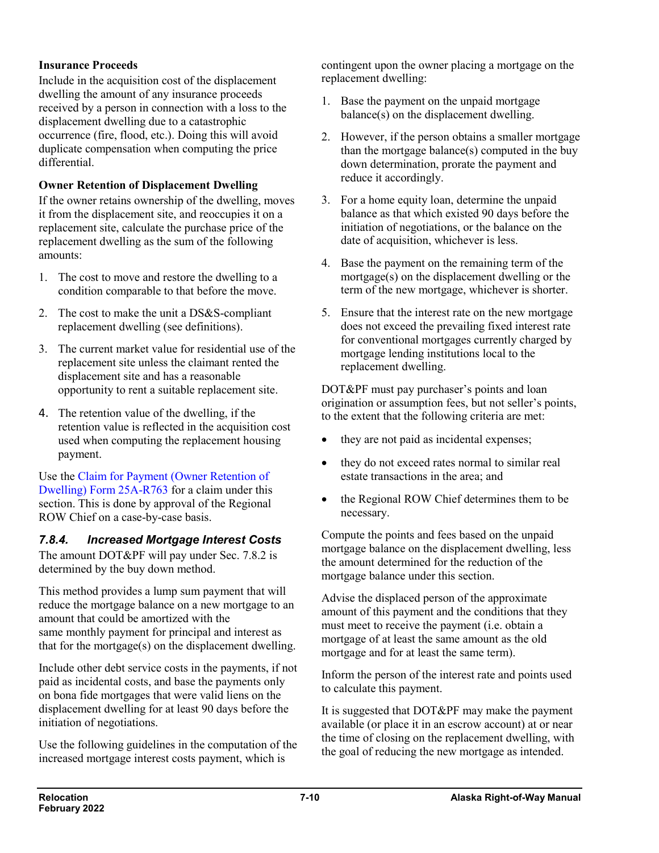#### **Insurance Proceeds**

Include in the acquisition cost of the displacement dwelling the amount of any insurance proceeds received by a person in connection with a loss to the displacement dwelling due to a catastrophic occurrence (fire, flood, etc.). Doing this will avoid duplicate compensation when computing the price differential.

#### **Owner Retention of Displacement Dwelling**

If the owner retains ownership of the dwelling, moves it from the displacement site, and reoccupies it on a replacement site, calculate the purchase price of the replacement dwelling as the sum of the following amounts:

- 1. The cost to move and restore the dwelling to a condition comparable to that before the move.
- 2. The cost to make the unit a DS&S-compliant replacement dwelling (see definitions).
- 3. The current market value for residential use of the replacement site unless the claimant rented the displacement site and has a reasonable opportunity to rent a suitable replacement site.
- 4. The retention value of the dwelling, if the retention value is reflected in the acquisition cost used when computing the replacement housing payment.

Use the [Claim for Payment \(Owner Retention of](http://www.dot.state.ak.us/stwddes/dcsrow/assets/pdf/forms/25ar763.pdf)  [Dwelling\) Form](http://www.dot.state.ak.us/stwddes/dcsrow/assets/pdf/forms/25ar763.pdf) 25A-R763 for a claim under this section. This is done by approval of the Regional ROW Chief on a case-by-case basis.

# *7.8.4. Increased Mortgage Interest Costs*

The amount DOT&PF will pay under Sec. 7.8.2 is determined by the buy down method.

This method provides a lump sum payment that will reduce the mortgage balance on a new mortgage to an amount that could be amortized with the same monthly payment for principal and interest as that for the mortgage(s) on the displacement dwelling.

Include other debt service costs in the payments, if not paid as incidental costs, and base the payments only on bona fide mortgages that were valid liens on the displacement dwelling for at least 90 days before the initiation of negotiations.

Use the following guidelines in the computation of the increased mortgage interest costs payment, which is

contingent upon the owner placing a mortgage on the replacement dwelling:

- 1. Base the payment on the unpaid mortgage balance(s) on the displacement dwelling.
- 2. However, if the person obtains a smaller mortgage than the mortgage balance(s) computed in the buy down determination, prorate the payment and reduce it accordingly.
- 3. For a home equity loan, determine the unpaid balance as that which existed 90 days before the initiation of negotiations, or the balance on the date of acquisition, whichever is less.
- 4. Base the payment on the remaining term of the mortgage(s) on the displacement dwelling or the term of the new mortgage, whichever is shorter.
- 5. Ensure that the interest rate on the new mortgage does not exceed the prevailing fixed interest rate for conventional mortgages currently charged by mortgage lending institutions local to the replacement dwelling.

DOT&PF must pay purchaser's points and loan origination or assumption fees, but not seller's points, to the extent that the following criteria are met:

- they are not paid as incidental expenses;
- they do not exceed rates normal to similar real estate transactions in the area; and
- the Regional ROW Chief determines them to be necessary.

Compute the points and fees based on the unpaid mortgage balance on the displacement dwelling, less the amount determined for the reduction of the mortgage balance under this section.

Advise the displaced person of the approximate amount of this payment and the conditions that they must meet to receive the payment (i.e. obtain a mortgage of at least the same amount as the old mortgage and for at least the same term).

Inform the person of the interest rate and points used to calculate this payment.

It is suggested that DOT&PF may make the payment available (or place it in an escrow account) at or near the time of closing on the replacement dwelling, with the goal of reducing the new mortgage as intended.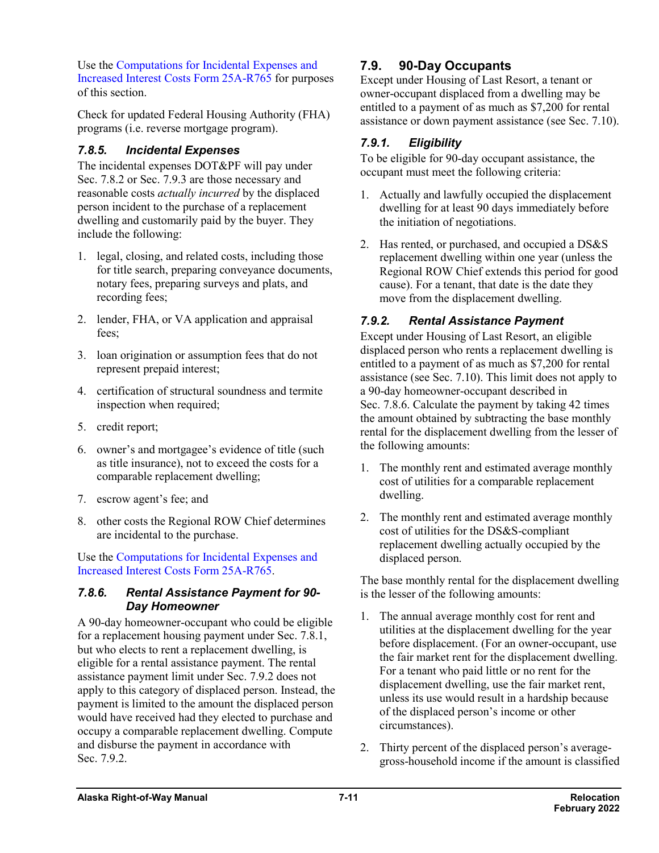Use the [Computations for Incidental Expenses and](http://www.dot.state.ak.us/stwddes/dcsrow/assets/pdf/forms/25ar765.pdf)  [Increased Interest Costs Form](http://www.dot.state.ak.us/stwddes/dcsrow/assets/pdf/forms/25ar765.pdf) 25A-R765 for purposes of this section.

Check for updated Federal Housing Authority (FHA) programs (i.e. reverse mortgage program).

### *7.8.5. Incidental Expenses*

The incidental expenses DOT&PF will pay under Sec. 7.8.2 or Sec. 7.9.3 are those necessary and reasonable costs *actually incurred* by the displaced person incident to the purchase of a replacement dwelling and customarily paid by the buyer. They include the following:

- 1. legal, closing, and related costs, including those for title search, preparing conveyance documents, notary fees, preparing surveys and plats, and recording fees;
- 2. lender, FHA, or VA application and appraisal fees;
- 3. loan origination or assumption fees that do not represent prepaid interest;
- 4. certification of structural soundness and termite inspection when required;
- 5. credit report;
- 6. owner's and mortgagee's evidence of title (such as title insurance), not to exceed the costs for a comparable replacement dwelling;
- 7. escrow agent's fee; and
- 8. other costs the Regional ROW Chief determines are incidental to the purchase.

Use the [Computations for Incidental Expenses and](http://www.dot.state.ak.us/stwddes/dcsrow/assets/pdf/forms/25ar765.pdf)  [Increased Interest Costs Form](http://www.dot.state.ak.us/stwddes/dcsrow/assets/pdf/forms/25ar765.pdf) 25A-R765.

### *7.8.6. Rental Assistance Payment for 90- Day Homeowner*

A 90-day homeowner-occupant who could be eligible for a replacement housing payment under Sec. 7.8.1, but who elects to rent a replacement dwelling, is eligible for a rental assistance payment. The rental assistance payment limit under Sec. 7.9.2 does not apply to this category of displaced person. Instead, the payment is limited to the amount the displaced person would have received had they elected to purchase and occupy a comparable replacement dwelling. Compute and disburse the payment in accordance with Sec. 7.9.2.

# **7.9. 90-Day Occupants**

Except under Housing of Last Resort, a tenant or owner-occupant displaced from a dwelling may be entitled to a payment of as much as \$7,200 for rental assistance or down payment assistance (see Sec. 7.10).

# *7.9.1. Eligibility*

To be eligible for 90-day occupant assistance, the occupant must meet the following criteria:

- 1. Actually and lawfully occupied the displacement dwelling for at least 90 days immediately before the initiation of negotiations.
- 2. Has rented, or purchased, and occupied a DS&S replacement dwelling within one year (unless the Regional ROW Chief extends this period for good cause). For a tenant, that date is the date they move from the displacement dwelling.

# *7.9.2. Rental Assistance Payment*

Except under Housing of Last Resort, an eligible displaced person who rents a replacement dwelling is entitled to a payment of as much as \$7,200 for rental assistance (see Sec. 7.10). This limit does not apply to a 90-day homeowner-occupant described in Sec. 7.8.6. Calculate the payment by taking 42 times the amount obtained by subtracting the base monthly rental for the displacement dwelling from the lesser of the following amounts:

- 1. The monthly rent and estimated average monthly cost of utilities for a comparable replacement dwelling.
- 2. The monthly rent and estimated average monthly cost of utilities for the DS&S-compliant replacement dwelling actually occupied by the displaced person.

The base monthly rental for the displacement dwelling is the lesser of the following amounts:

- 1. The annual average monthly cost for rent and utilities at the displacement dwelling for the year before displacement. (For an owner-occupant, use the fair market rent for the displacement dwelling. For a tenant who paid little or no rent for the displacement dwelling, use the fair market rent, unless its use would result in a hardship because of the displaced person's income or other circumstances).
- 2. Thirty percent of the displaced person's averagegross-household income if the amount is classified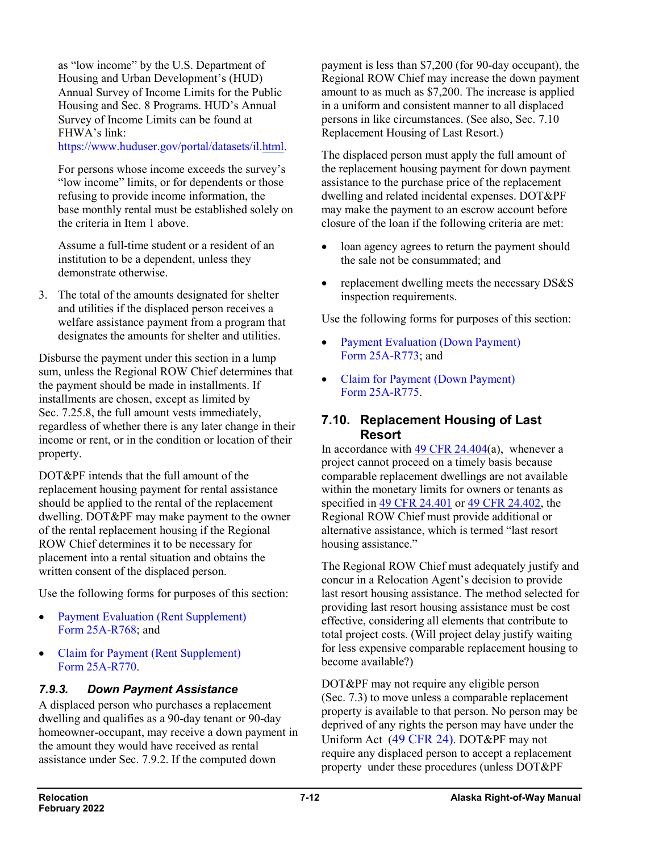as "low income" by the U.S. Department of Housing and Urban Development's (HUD) Annual Survey of Income Limits for the Public Housing and Sec. 8 Programs. HUD's Annual Survey of Income Limits can be found at FHWA's link:

https://www.huduser.gov/portal/datasets/i[l.html.](https://www.huduser.gov/portal/datasets/il.html)

For persons whose income exceeds the survey's "low income" limits, or for dependents or those refusing to provide income information, the base monthly rental must be established solely on the criteria in Item 1 above.

Assume a full-time student or a resident of an institution to be a dependent, unless they demonstrate otherwise.

3. The total of the amounts designated for shelter and utilities if the displaced person receives a welfare assistance payment from a program that designates the amounts for shelter and utilities.

Disburse the payment under this section in a lump sum, unless the Regional ROW Chief determines that the payment should be made in installments. If installments are chosen, except as limited by Sec. 7.25.8, the full amount vests immediately, regardless of whether there is any later change in their income or rent, or in the condition or location of their property.

DOT&PF intends that the full amount of the replacement housing payment for rental assistance should be applied to the rental of the replacement dwelling. DOT&PF may make payment to the owner of the rental replacement housing if the Regional ROW Chief determines it to be necessary for placement into a rental situation and obtains the written consent of the displaced person.

Use the following forms for purposes of this section:

- Payment Evaluation (Rent Supplement) Form [25A-R768;](http://www.dot.state.ak.us/stwddes/dcsrow/assets/pdf/forms/25ar768.pdf) and
- Claim for Payment (Rent Supplement) Form [25A-R770.](http://www.dot.state.ak.us/stwddes/dcsrow/assets/pdf/forms/25ar770.pdf)

#### *7.9.3. Down Payment Assistance*

A displaced person who purchases a replacement dwelling and qualifies as a 90-day tenant or 90-day homeowner-occupant, may receive a down payment in the amount they would have received as rental assistance under Sec. 7.9.2. If the computed down

payment is less than \$7,200 (for 90-day occupant), the Regional ROW Chief may increase the down payment amount to as much as \$7,200. The increase is applied in a uniform and consistent manner to all displaced persons in like circumstances. (See also, Sec. 7.10 Replacement Housing of Last Resort.)

The displaced person must apply the full amount of the replacement housing payment for down payment assistance to the purchase price of the replacement dwelling and related incidental expenses. DOT&PF may make the payment to an escrow account before closure of the loan if the following criteria are met:

- loan agency agrees to return the payment should the sale not be consummated; and
- replacement dwelling meets the necessary DS&S inspection requirements.

Use the following forms for purposes of this section:

- Payment Evaluation (Down Payment) Form [25A-R773;](http://www.dot.state.ak.us/stwddes/dcsrow/assets/pdf/forms/25ar773.pdf) and
- [Claim for Payment \(Down Payment\)](http://www.dot.state.ak.us/stwddes/dcsrow/assets/pdf/forms/25ar775.pdf)  Form [25A-R775.](http://www.dot.state.ak.us/stwddes/dcsrow/assets/pdf/forms/25ar775.pdf)

#### **7.10. Replacement Housing of Last Resort**

In accordance with  $49$  CFR 24.404(a), whenever a project cannot proceed on a timely basis because comparable replacement dwellings are not available within the monetary limits for owners or tenants as specified in [49 CFR 24.401](https://www.ecfr.gov/cgi-bin/retrieveECFR?gp=&SID=d8066ce1620f787b70e397386f5c9f7d&mc=true&n=pt49.1.24&r=PART&ty=HTML#se49.1.24_12) or [49 CFR 24.402,](https://www.ecfr.gov/cgi-bin/retrieveECFR?gp=&SID=d8066ce1620f787b70e397386f5c9f7d&mc=true&n=pt49.1.24&r=PART&ty=HTML#se49.1.24_12) the Regional ROW Chief must provide additional or alternative assistance, which is termed "last resort housing assistance."

The Regional ROW Chief must adequately justify and concur in a Relocation Agent's decision to provide last resort housing assistance. The method selected for providing last resort housing assistance must be cost effective, considering all elements that contribute to total project costs. (Will project delay justify waiting for less expensive comparable replacement housing to become available?)

DOT&PF may not require any eligible person (Sec. 7.3) to move unless a comparable replacement property is available to that person. No person may be deprived of any rights the person may have under the Uniform Act (49 [CFR](http://www.ecfr.gov/cgi-bin/text-idx?SID=653591624e33345fff38d26309a6fa16&mc=true&node=pt49.1.24&rgn=div5) 24). DOT&PF may not require any displaced person to accept a replacement property under these procedures (unless DOT&PF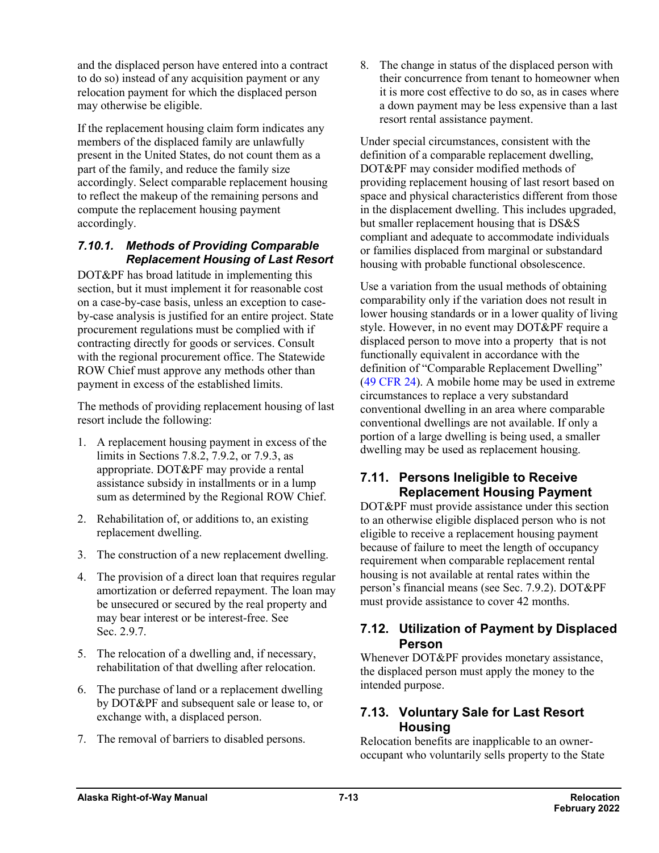and the displaced person have entered into a contract to do so) instead of any acquisition payment or any relocation payment for which the displaced person may otherwise be eligible.

If the replacement housing claim form indicates any members of the displaced family are unlawfully present in the United States, do not count them as a part of the family, and reduce the family size accordingly. Select comparable replacement housing to reflect the makeup of the remaining persons and compute the replacement housing payment accordingly.

#### *7.10.1. Methods of Providing Comparable Replacement Housing of Last Resort*

DOT&PF has broad latitude in implementing this section, but it must implement it for reasonable cost on a case-by-case basis, unless an exception to caseby-case analysis is justified for an entire project. State procurement regulations must be complied with if contracting directly for goods or services. Consult with the regional procurement office. The Statewide ROW Chief must approve any methods other than payment in excess of the established limits.

The methods of providing replacement housing of last resort include the following:

- 1. A replacement housing payment in excess of the limits in Sections 7.8.2, 7.9.2, or 7.9.3, as appropriate. DOT&PF may provide a rental assistance subsidy in installments or in a lump sum as determined by the Regional ROW Chief.
- 2. Rehabilitation of, or additions to, an existing replacement dwelling.
- 3. The construction of a new replacement dwelling.
- 4. The provision of a direct loan that requires regular amortization or deferred repayment. The loan may be unsecured or secured by the real property and may bear interest or be interest-free. See Sec. 2.9.7.
- 5. The relocation of a dwelling and, if necessary, rehabilitation of that dwelling after relocation.
- 6. The purchase of land or a replacement dwelling by DOT&PF and subsequent sale or lease to, or exchange with, a displaced person.
- 7. The removal of barriers to disabled persons.

8. The change in status of the displaced person with their concurrence from tenant to homeowner when it is more cost effective to do so, as in cases where a down payment may be less expensive than a last resort rental assistance payment.

Under special circumstances, consistent with the definition of a comparable replacement dwelling, DOT&PF may consider modified methods of providing replacement housing of last resort based on space and physical characteristics different from those in the displacement dwelling. This includes upgraded, but smaller replacement housing that is DS&S compliant and adequate to accommodate individuals or families displaced from marginal or substandard housing with probable functional obsolescence.

Use a variation from the usual methods of obtaining comparability only if the variation does not result in lower housing standards or in a lower quality of living style. However, in no event may DOT&PF require a displaced person to move into a property that is not functionally equivalent in accordance with the definition of "Comparable Replacement Dwelling" (49 [CFR](https://www.ecfr.gov/cgi-bin/retrieveECFR?gp=&SID=ef0cebd3b0b75e730b23dc09a695eaf6&mc=true&n=pt49.1.24&r=PART&ty=HTML) 24). A mobile home may be used in extreme circumstances to replace a very substandard conventional dwelling in an area where comparable conventional dwellings are not available. If only a portion of a large dwelling is being used, a smaller dwelling may be used as replacement housing.

#### **7.11. Persons Ineligible to Receive Replacement Housing Payment**

DOT&PF must provide assistance under this section to an otherwise eligible displaced person who is not eligible to receive a replacement housing payment because of failure to meet the length of occupancy requirement when comparable replacement rental housing is not available at rental rates within the person's financial means (see Sec. 7.9.2). DOT&PF must provide assistance to cover 42 months.

### **7.12. Utilization of Payment by Displaced Person**

Whenever DOT&PF provides monetary assistance, the displaced person must apply the money to the intended purpose.

### **7.13. Voluntary Sale for Last Resort Housing**

Relocation benefits are inapplicable to an owneroccupant who voluntarily sells property to the State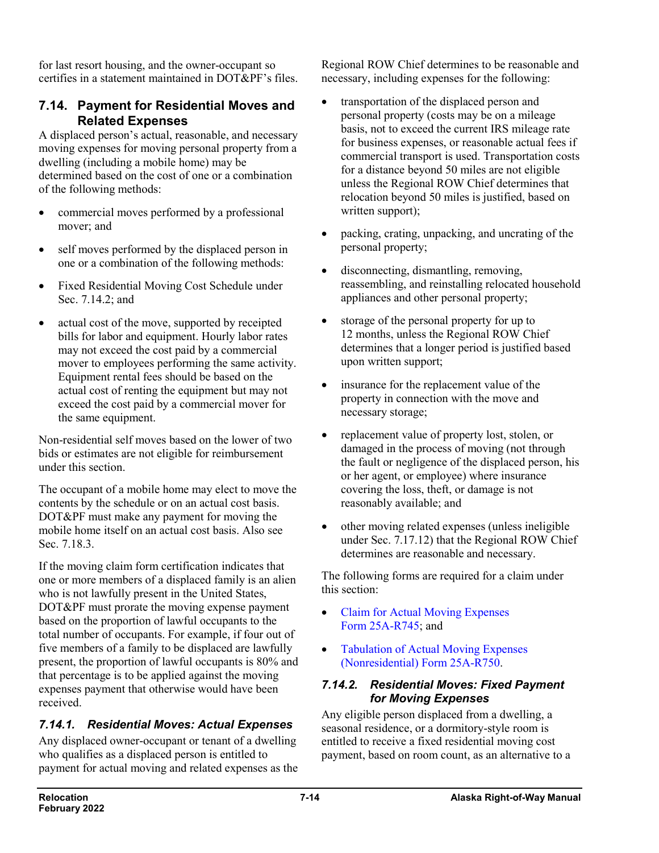for last resort housing, and the owner-occupant so certifies in a statement maintained in DOT&PF's files.

#### **7.14. Payment for Residential Moves and Related Expenses**

A displaced person's actual, reasonable, and necessary moving expenses for moving personal property from a dwelling (including a mobile home) may be determined based on the cost of one or a combination of the following methods:

- commercial moves performed by a professional mover; and
- self moves performed by the displaced person in one or a combination of the following methods:
- Fixed Residential Moving Cost Schedule under Sec. 7.14.2; and
- actual cost of the move, supported by receipted bills for labor and equipment. Hourly labor rates may not exceed the cost paid by a commercial mover to employees performing the same activity. Equipment rental fees should be based on the actual cost of renting the equipment but may not exceed the cost paid by a commercial mover for the same equipment.

Non-residential self moves based on the lower of two bids or estimates are not eligible for reimbursement under this section.

The occupant of a mobile home may elect to move the contents by the schedule or on an actual cost basis. DOT&PF must make any payment for moving the mobile home itself on an actual cost basis. Also see Sec. 7.18.3.

If the moving claim form certification indicates that one or more members of a displaced family is an alien who is not lawfully present in the United States, DOT&PF must prorate the moving expense payment based on the proportion of lawful occupants to the total number of occupants. For example, if four out of five members of a family to be displaced are lawfully present, the proportion of lawful occupants is 80% and that percentage is to be applied against the moving expenses payment that otherwise would have been received.

### *7.14.1. Residential Moves: Actual Expenses*

Any displaced owner-occupant or tenant of a dwelling who qualifies as a displaced person is entitled to payment for actual moving and related expenses as the

Regional ROW Chief determines to be reasonable and necessary, including expenses for the following:

- transportation of the displaced person and personal property (costs may be on a mileage basis, not to exceed the current IRS mileage rate for business expenses, or reasonable actual fees if commercial transport is used. Transportation costs for a distance beyond 50 miles are not eligible unless the Regional ROW Chief determines that relocation beyond 50 miles is justified, based on written support);
- packing, crating, unpacking, and uncrating of the personal property;
- disconnecting, dismantling, removing, reassembling, and reinstalling relocated household appliances and other personal property;
- storage of the personal property for up to 12 months, unless the Regional ROW Chief determines that a longer period is justified based upon written support;
- insurance for the replacement value of the property in connection with the move and necessary storage;
- replacement value of property lost, stolen, or damaged in the process of moving (not through the fault or negligence of the displaced person, his or her agent, or employee) where insurance covering the loss, theft, or damage is not reasonably available; and
- other moving related expenses (unless ineligible under Sec. 7.17.12) that the Regional ROW Chief determines are reasonable and necessary.

The following forms are required for a claim under this section:

- [Claim for Actual Moving Expenses](http://www.dot.state.ak.us/stwddes/dcsrow/assets/pdf/forms/25ar745.pdf)  Form [25A-R745;](http://www.dot.state.ak.us/stwddes/dcsrow/assets/pdf/forms/25ar745.pdf) and
- [Tabulation of Actual Moving Expenses](http://www.dot.state.ak.us/stwddes/dcsrow/assets/pdf/forms/25ar750.pdf)  [\(Nonresidential\) Form](http://www.dot.state.ak.us/stwddes/dcsrow/assets/pdf/forms/25ar750.pdf) 25A-R750.

#### *7.14.2. Residential Moves: Fixed Payment for Moving Expenses*

Any eligible person displaced from a dwelling, a seasonal residence, or a dormitory-style room is entitled to receive a fixed residential moving cost payment, based on room count, as an alternative to a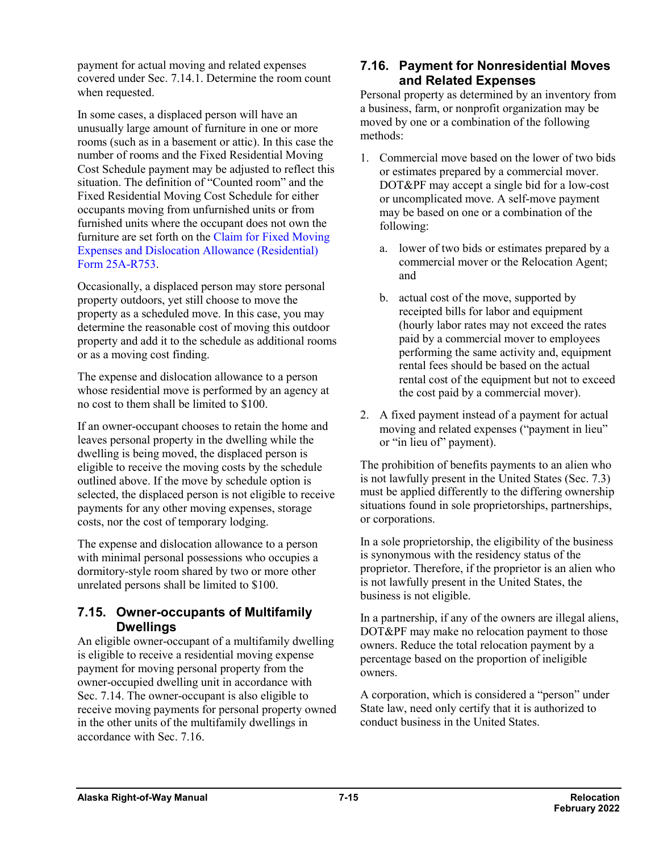payment for actual moving and related expenses covered under Sec. 7.14.1. Determine the room count when requested.

In some cases, a displaced person will have an unusually large amount of furniture in one or more rooms (such as in a basement or attic). In this case the number of rooms and the Fixed Residential Moving Cost Schedule payment may be adjusted to reflect this situation. The definition of "Counted room" and the Fixed Residential Moving Cost Schedule for either occupants moving from unfurnished units or from furnished units where the occupant does not own the furniture are set forth on the [Claim for Fixed Moving](http://www.dot.state.ak.us/stwddes/dcsrow/assets/pdf/forms/25ar753.pdf)  [Expenses and Dislocation Allowance \(Residential\)](http://www.dot.state.ak.us/stwddes/dcsrow/assets/pdf/forms/25ar753.pdf)  Form [25A-R753.](http://www.dot.state.ak.us/stwddes/dcsrow/assets/pdf/forms/25ar753.pdf)

Occasionally, a displaced person may store personal property outdoors, yet still choose to move the property as a scheduled move. In this case, you may determine the reasonable cost of moving this outdoor property and add it to the schedule as additional rooms or as a moving cost finding.

The expense and dislocation allowance to a person whose residential move is performed by an agency at no cost to them shall be limited to \$100.

If an owner-occupant chooses to retain the home and leaves personal property in the dwelling while the dwelling is being moved, the displaced person is eligible to receive the moving costs by the schedule outlined above. If the move by schedule option is selected, the displaced person is not eligible to receive payments for any other moving expenses, storage costs, nor the cost of temporary lodging.

The expense and dislocation allowance to a person with minimal personal possessions who occupies a dormitory-style room shared by two or more other unrelated persons shall be limited to \$100.

### **7.15. Owner-occupants of Multifamily Dwellings**

An eligible owner-occupant of a multifamily dwelling is eligible to receive a residential moving expense payment for moving personal property from the owner-occupied dwelling unit in accordance with Sec. 7.14. The owner-occupant is also eligible to receive moving payments for personal property owned in the other units of the multifamily dwellings in accordance with Sec. 7.16.

### **7.16. Payment for Nonresidential Moves and Related Expenses**

Personal property as determined by an inventory from a business, farm, or nonprofit organization may be moved by one or a combination of the following methods:

- 1. Commercial move based on the lower of two bids or estimates prepared by a commercial mover. DOT&PF may accept a single bid for a low-cost or uncomplicated move. A self-move payment may be based on one or a combination of the following:
	- a. lower of two bids or estimates prepared by a commercial mover or the Relocation Agent; and
	- b. actual cost of the move, supported by receipted bills for labor and equipment (hourly labor rates may not exceed the rates paid by a commercial mover to employees performing the same activity and, equipment rental fees should be based on the actual rental cost of the equipment but not to exceed the cost paid by a commercial mover).
- 2. A fixed payment instead of a payment for actual moving and related expenses ("payment in lieu" or "in lieu of" payment).

The prohibition of benefits payments to an alien who is not lawfully present in the United States (Sec. 7.3) must be applied differently to the differing ownership situations found in sole proprietorships, partnerships, or corporations.

In a sole proprietorship, the eligibility of the business is synonymous with the residency status of the proprietor. Therefore, if the proprietor is an alien who is not lawfully present in the United States, the business is not eligible.

In a partnership, if any of the owners are illegal aliens, DOT&PF may make no relocation payment to those owners. Reduce the total relocation payment by a percentage based on the proportion of ineligible owners.

A corporation, which is considered a "person" under State law, need only certify that it is authorized to conduct business in the United States.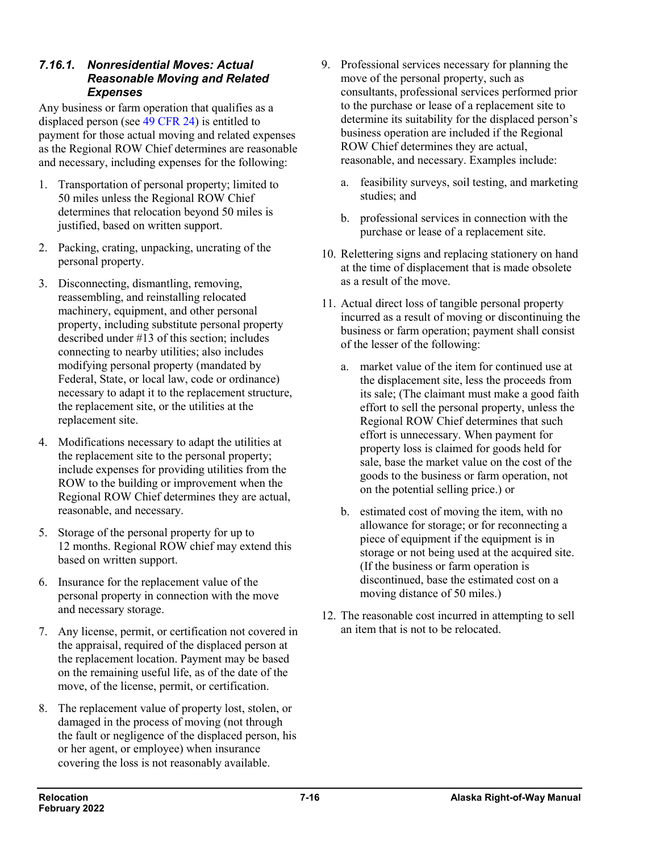#### *7.16.1. Nonresidential Moves: Actual Reasonable Moving and Related Expenses*

Any business or farm operation that qualifies as a displaced person (see 49 [CFR](https://www.ecfr.gov/cgi-bin/retrieveECFR?gp=&SID=ef0cebd3b0b75e730b23dc09a695eaf6&mc=true&n=pt49.1.24&r=PART&ty=HTML) 24) is entitled to payment for those actual moving and related expenses as the Regional ROW Chief determines are reasonable and necessary, including expenses for the following:

- 1. Transportation of personal property; limited to 50 miles unless the Regional ROW Chief determines that relocation beyond 50 miles is justified, based on written support.
- 2. Packing, crating, unpacking, uncrating of the personal property.
- 3. Disconnecting, dismantling, removing, reassembling, and reinstalling relocated machinery, equipment, and other personal property, including substitute personal property described under #13 of this section; includes connecting to nearby utilities; also includes modifying personal property (mandated by Federal, State, or local law, code or ordinance) necessary to adapt it to the replacement structure, the replacement site, or the utilities at the replacement site.
- 4. Modifications necessary to adapt the utilities at the replacement site to the personal property; include expenses for providing utilities from the ROW to the building or improvement when the Regional ROW Chief determines they are actual, reasonable, and necessary.
- 5. Storage of the personal property for up to 12 months. Regional ROW chief may extend this based on written support.
- 6. Insurance for the replacement value of the personal property in connection with the move and necessary storage.
- 7. Any license, permit, or certification not covered in the appraisal, required of the displaced person at the replacement location. Payment may be based on the remaining useful life, as of the date of the move, of the license, permit, or certification.
- 8. The replacement value of property lost, stolen, or damaged in the process of moving (not through the fault or negligence of the displaced person, his or her agent, or employee) when insurance covering the loss is not reasonably available.
- 9. Professional services necessary for planning the move of the personal property, such as consultants, professional services performed prior to the purchase or lease of a replacement site to determine its suitability for the displaced person's business operation are included if the Regional ROW Chief determines they are actual, reasonable, and necessary. Examples include:
	- a. feasibility surveys, soil testing, and marketing studies; and
	- b. professional services in connection with the purchase or lease of a replacement site.
- 10. Relettering signs and replacing stationery on hand at the time of displacement that is made obsolete as a result of the move.
- 11. Actual direct loss of tangible personal property incurred as a result of moving or discontinuing the business or farm operation; payment shall consist of the lesser of the following:
	- a. market value of the item for continued use at the displacement site, less the proceeds from its sale; (The claimant must make a good faith effort to sell the personal property, unless the Regional ROW Chief determines that such effort is unnecessary. When payment for property loss is claimed for goods held for sale, base the market value on the cost of the goods to the business or farm operation, not on the potential selling price.) or
	- b. estimated cost of moving the item, with no allowance for storage; or for reconnecting a piece of equipment if the equipment is in storage or not being used at the acquired site. (If the business or farm operation is discontinued, base the estimated cost on a moving distance of 50 miles.)
- 12. The reasonable cost incurred in attempting to sell an item that is not to be relocated.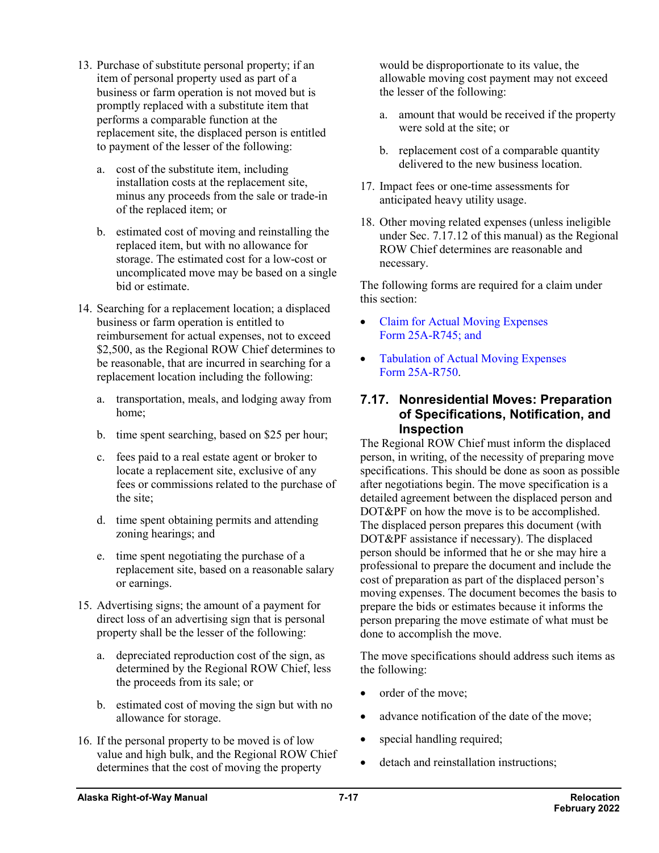- 13. Purchase of substitute personal property; if an item of personal property used as part of a business or farm operation is not moved but is promptly replaced with a substitute item that performs a comparable function at the replacement site, the displaced person is entitled to payment of the lesser of the following:
	- a. cost of the substitute item, including installation costs at the replacement site, minus any proceeds from the sale or trade-in of the replaced item; or
	- b. estimated cost of moving and reinstalling the replaced item, but with no allowance for storage. The estimated cost for a low-cost or uncomplicated move may be based on a single bid or estimate.
- 14. Searching for a replacement location; a displaced business or farm operation is entitled to reimbursement for actual expenses, not to exceed \$2,500, as the Regional ROW Chief determines to be reasonable, that are incurred in searching for a replacement location including the following:
	- a. transportation, meals, and lodging away from home;
	- b. time spent searching, based on \$25 per hour;
	- c. fees paid to a real estate agent or broker to locate a replacement site, exclusive of any fees or commissions related to the purchase of the site;
	- d. time spent obtaining permits and attending zoning hearings; and
	- e. time spent negotiating the purchase of a replacement site, based on a reasonable salary or earnings.
- 15. Advertising signs; the amount of a payment for direct loss of an advertising sign that is personal property shall be the lesser of the following:
	- a. depreciated reproduction cost of the sign, as determined by the Regional ROW Chief, less the proceeds from its sale; or
	- b. estimated cost of moving the sign but with no allowance for storage.
- 16. If the personal property to be moved is of low value and high bulk, and the Regional ROW Chief determines that the cost of moving the property

would be disproportionate to its value, the allowable moving cost payment may not exceed the lesser of the following:

- a. amount that would be received if the property were sold at the site; or
- b. replacement cost of a comparable quantity delivered to the new business location.
- 17. Impact fees or one-time assessments for anticipated heavy utility usage.
- 18. Other moving related expenses (unless ineligible under Sec. 7.17.12 of this manual) as the Regional ROW Chief determines are reasonable and necessary.

The following forms are required for a claim under this section:

- [Claim for Actual Moving Expenses](http://www.dot.state.ak.us/stwddes/dcsrow/assets/pdf/forms/25ar745.pdf) Form [25A-R745;](http://www.dot.state.ak.us/stwddes/dcsrow/assets/pdf/forms/25ar745.pdf) and
- Tabulation of Actual Moving Expenses Form [25A-R750.](http://www.dot.state.ak.us/stwddes/dcsrow/assets/pdf/forms/25ar750.pdf)

#### **7.17. Nonresidential Moves: Preparation of Specifications, Notification, and Inspection**

The Regional ROW Chief must inform the displaced person, in writing, of the necessity of preparing move specifications. This should be done as soon as possible after negotiations begin. The move specification is a detailed agreement between the displaced person and DOT&PF on how the move is to be accomplished. The displaced person prepares this document (with DOT&PF assistance if necessary). The displaced person should be informed that he or she may hire a professional to prepare the document and include the cost of preparation as part of the displaced person's moving expenses. The document becomes the basis to prepare the bids or estimates because it informs the person preparing the move estimate of what must be done to accomplish the move.

The move specifications should address such items as the following:

- order of the move;
- advance notification of the date of the move;
- special handling required;
- detach and reinstallation instructions;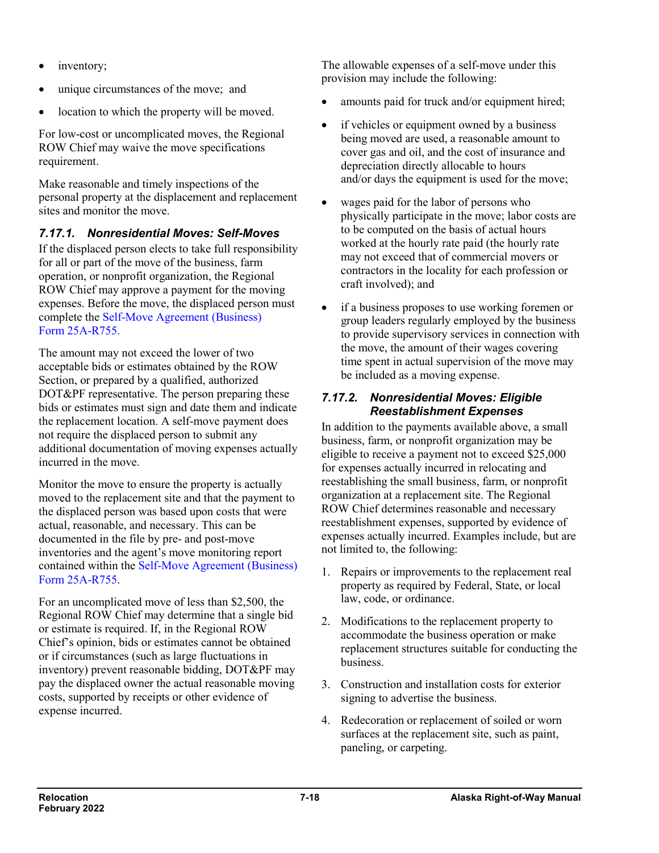- inventory;
- unique circumstances of the move; and
- location to which the property will be moved.

For low-cost or uncomplicated moves, the Regional ROW Chief may waive the move specifications requirement.

Make reasonable and timely inspections of the personal property at the displacement and replacement sites and monitor the move.

### *7.17.1. Nonresidential Moves: Self-Moves*

If the displaced person elects to take full responsibility for all or part of the move of the business, farm operation, or nonprofit organization, the Regional ROW Chief may approve a payment for the moving expenses. Before the move, the displaced person must complete the [Self-Move Agreement \(Business\)](http://www.dot.state.ak.us/stwddes/dcsrow/assets/pdf/forms/25ar755.pdf) Form [25A-R755.](http://www.dot.state.ak.us/stwddes/dcsrow/assets/pdf/forms/25ar755.pdf)

The amount may not exceed the lower of two acceptable bids or estimates obtained by the ROW Section, or prepared by a qualified, authorized DOT&PF representative. The person preparing these bids or estimates must sign and date them and indicate the replacement location. A self-move payment does not require the displaced person to submit any additional documentation of moving expenses actually incurred in the move.

Monitor the move to ensure the property is actually moved to the replacement site and that the payment to the displaced person was based upon costs that were actual, reasonable, and necessary. This can be documented in the file by pre- and post-move inventories and the agent's move monitoring report contained within the [Self-Move Agreement \(Business\)](http://www.dot.state.ak.us/stwddes/dcsrow/assets/pdf/forms/25ar755.pdf)  Form [25A-R755.](http://www.dot.state.ak.us/stwddes/dcsrow/assets/pdf/forms/25ar755.pdf)

For an uncomplicated move of less than \$2,500, the Regional ROW Chief may determine that a single bid or estimate is required. If, in the Regional ROW Chief's opinion, bids or estimates cannot be obtained or if circumstances (such as large fluctuations in inventory) prevent reasonable bidding, DOT&PF may pay the displaced owner the actual reasonable moving costs, supported by receipts or other evidence of expense incurred.

The allowable expenses of a self-move under this provision may include the following:

- amounts paid for truck and/or equipment hired;
- if vehicles or equipment owned by a business being moved are used, a reasonable amount to cover gas and oil, and the cost of insurance and depreciation directly allocable to hours and/or days the equipment is used for the move;
- wages paid for the labor of persons who physically participate in the move; labor costs are to be computed on the basis of actual hours worked at the hourly rate paid (the hourly rate may not exceed that of commercial movers or contractors in the locality for each profession or craft involved); and
- if a business proposes to use working foremen or group leaders regularly employed by the business to provide supervisory services in connection with the move, the amount of their wages covering time spent in actual supervision of the move may be included as a moving expense.

#### *7.17.2. Nonresidential Moves: Eligible Reestablishment Expenses*

In addition to the payments available above, a small business, farm, or nonprofit organization may be eligible to receive a payment not to exceed \$25,000 for expenses actually incurred in relocating and reestablishing the small business, farm, or nonprofit organization at a replacement site. The Regional ROW Chief determines reasonable and necessary reestablishment expenses, supported by evidence of expenses actually incurred. Examples include, but are not limited to, the following:

- 1. Repairs or improvements to the replacement real property as required by Federal, State, or local law, code, or ordinance.
- 2. Modifications to the replacement property to accommodate the business operation or make replacement structures suitable for conducting the business.
- 3. Construction and installation costs for exterior signing to advertise the business.
- 4. Redecoration or replacement of soiled or worn surfaces at the replacement site, such as paint, paneling, or carpeting.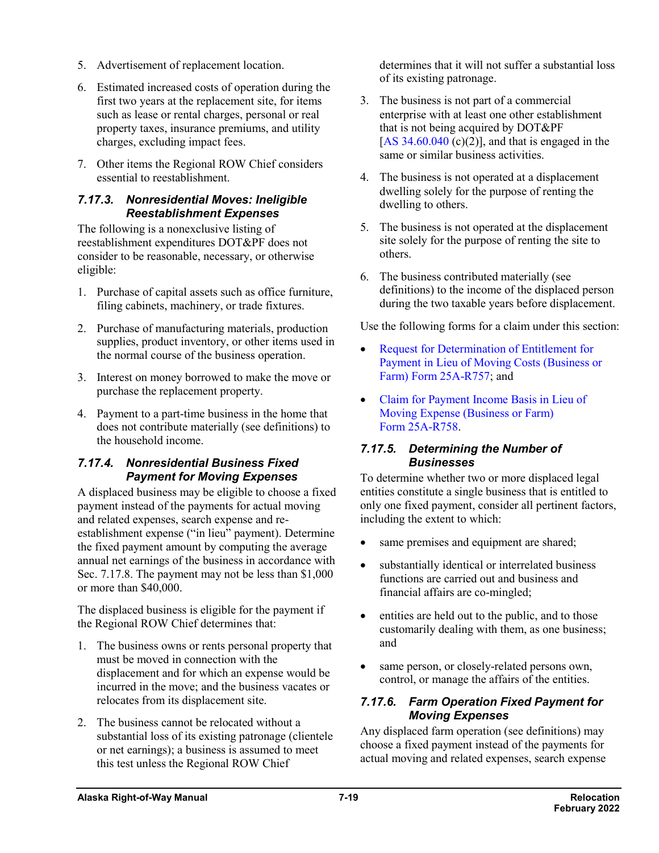- 5. Advertisement of replacement location.
- 6. Estimated increased costs of operation during the first two years at the replacement site, for items such as lease or rental charges, personal or real property taxes, insurance premiums, and utility charges, excluding impact fees.
- 7. Other items the Regional ROW Chief considers essential to reestablishment.

#### *7.17.3. Nonresidential Moves: Ineligible Reestablishment Expenses*

The following is a nonexclusive listing of reestablishment expenditures DOT&PF does not consider to be reasonable, necessary, or otherwise eligible:

- 1. Purchase of capital assets such as office furniture, filing cabinets, machinery, or trade fixtures.
- 2. Purchase of manufacturing materials, production supplies, product inventory, or other items used in the normal course of the business operation.
- 3. Interest on money borrowed to make the move or purchase the replacement property.
- 4. Payment to a part-time business in the home that does not contribute materially (see definitions) to the household income.

#### *7.17.4. Nonresidential Business Fixed Payment for Moving Expenses*

A displaced business may be eligible to choose a fixed payment instead of the payments for actual moving and related expenses, search expense and reestablishment expense ("in lieu" payment). Determine the fixed payment amount by computing the average annual net earnings of the business in accordance with Sec. 7.17.8. The payment may not be less than \$1,000 or more than \$40,000.

The displaced business is eligible for the payment if the Regional ROW Chief determines that:

- 1. The business owns or rents personal property that must be moved in connection with the displacement and for which an expense would be incurred in the move; and the business vacates or relocates from its displacement site.
- 2. The business cannot be relocated without a substantial loss of its existing patronage (clientele or net earnings); a business is assumed to meet this test unless the Regional ROW Chief

determines that it will not suffer a substantial loss of its existing patronage.

- 3. The business is not part of a commercial enterprise with at least one other establishment that is not being acquired by DOT&PF [AS  $34.60.040$  (c)(2)], and that is engaged in the same or similar business activities.
- 4. The business is not operated at a displacement dwelling solely for the purpose of renting the dwelling to others.
- 5. The business is not operated at the displacement site solely for the purpose of renting the site to others.
- 6. The business contributed materially (see definitions) to the income of the displaced person during the two taxable years before displacement.

Use the following forms for a claim under this section:

- [Request for Determination of Entitlement for](http://www.dot.state.ak.us/stwddes/dcsrow/assets/pdf/forms/25ar757.pdf)  [Payment in Lieu of Moving Costs \(Business or](http://www.dot.state.ak.us/stwddes/dcsrow/assets/pdf/forms/25ar757.pdf)  [Farm\) Form](http://www.dot.state.ak.us/stwddes/dcsrow/assets/pdf/forms/25ar757.pdf) 25A-R757; and
- [Claim for Payment Income Basis in Lieu of](http://www.dot.state.ak.us/stwddes/dcsrow/assets/pdf/forms/25ar758.pdf)  [Moving Expense \(Business or Farm\)](http://www.dot.state.ak.us/stwddes/dcsrow/assets/pdf/forms/25ar758.pdf)  Form [25A-R758.](http://www.dot.state.ak.us/stwddes/dcsrow/assets/pdf/forms/25ar758.pdf)

#### *7.17.5. Determining the Number of Businesses*

To determine whether two or more displaced legal entities constitute a single business that is entitled to only one fixed payment, consider all pertinent factors, including the extent to which:

- same premises and equipment are shared;
- substantially identical or interrelated business functions are carried out and business and financial affairs are co-mingled;
- entities are held out to the public, and to those customarily dealing with them, as one business; and
- same person, or closely-related persons own, control, or manage the affairs of the entities.

#### *7.17.6. Farm Operation Fixed Payment for Moving Expenses*

Any displaced farm operation (see definitions) may choose a fixed payment instead of the payments for actual moving and related expenses, search expense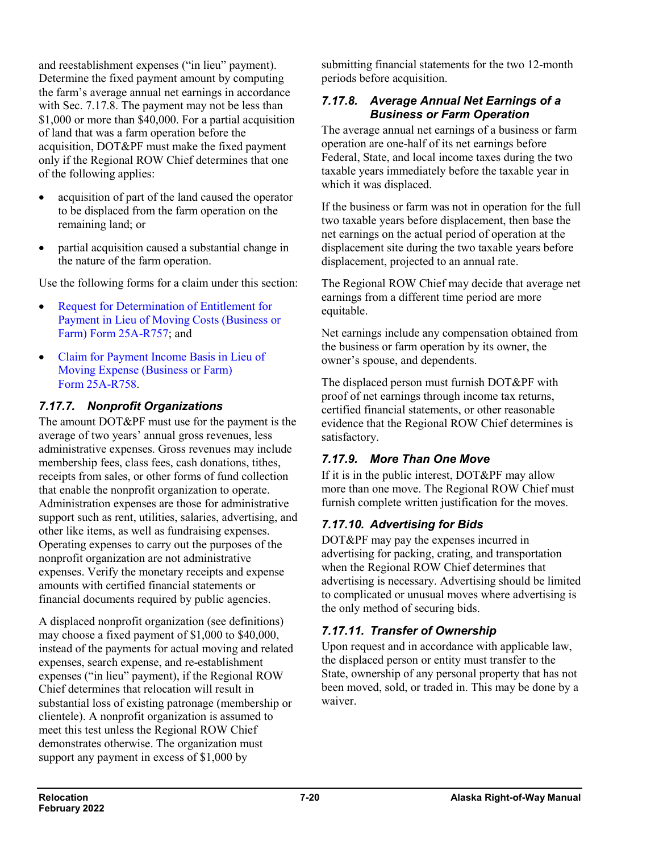and reestablishment expenses ("in lieu" payment). Determine the fixed payment amount by computing the farm's average annual net earnings in accordance with Sec. 7.17.8. The payment may not be less than \$1,000 or more than \$40,000. For a partial acquisition of land that was a farm operation before the acquisition, DOT&PF must make the fixed payment only if the Regional ROW Chief determines that one of the following applies:

- acquisition of part of the land caused the operator to be displaced from the farm operation on the remaining land; or
- partial acquisition caused a substantial change in the nature of the farm operation.

Use the following forms for a claim under this section:

- [Request for Determination of Entitlement for](http://www.dot.state.ak.us/stwddes/dcsrow/assets/pdf/forms/25ar757.pdf)  [Payment in Lieu of Moving Costs \(Business or](http://www.dot.state.ak.us/stwddes/dcsrow/assets/pdf/forms/25ar757.pdf)  [Farm\) Form](http://www.dot.state.ak.us/stwddes/dcsrow/assets/pdf/forms/25ar757.pdf) 25A-R757; and
- [Claim for Payment Income Basis in Lieu of](http://www.dot.state.ak.us/stwddes/dcsrow/assets/pdf/forms/25ar758.pdf)  [Moving Expense \(Business or Farm\)](http://www.dot.state.ak.us/stwddes/dcsrow/assets/pdf/forms/25ar758.pdf)  Form [25A-R758.](http://www.dot.state.ak.us/stwddes/dcsrow/assets/pdf/forms/25ar758.pdf)

### *7.17.7. Nonprofit Organizations*

The amount DOT&PF must use for the payment is the average of two years' annual gross revenues, less administrative expenses. Gross revenues may include membership fees, class fees, cash donations, tithes, receipts from sales, or other forms of fund collection that enable the nonprofit organization to operate. Administration expenses are those for administrative support such as rent, utilities, salaries, advertising, and other like items, as well as fundraising expenses. Operating expenses to carry out the purposes of the nonprofit organization are not administrative expenses. Verify the monetary receipts and expense amounts with certified financial statements or financial documents required by public agencies.

A displaced nonprofit organization (see definitions) may choose a fixed payment of \$1,000 to \$40,000, instead of the payments for actual moving and related expenses, search expense, and re-establishment expenses ("in lieu" payment), if the Regional ROW Chief determines that relocation will result in substantial loss of existing patronage (membership or clientele). A nonprofit organization is assumed to meet this test unless the Regional ROW Chief demonstrates otherwise. The organization must support any payment in excess of \$1,000 by

submitting financial statements for the two 12-month periods before acquisition.

#### *7.17.8. Average Annual Net Earnings of a Business or Farm Operation*

The average annual net earnings of a business or farm operation are one-half of its net earnings before Federal, State, and local income taxes during the two taxable years immediately before the taxable year in which it was displaced.

If the business or farm was not in operation for the full two taxable years before displacement, then base the net earnings on the actual period of operation at the displacement site during the two taxable years before displacement, projected to an annual rate.

The Regional ROW Chief may decide that average net earnings from a different time period are more equitable.

Net earnings include any compensation obtained from the business or farm operation by its owner, the owner's spouse, and dependents.

The displaced person must furnish DOT&PF with proof of net earnings through income tax returns, certified financial statements, or other reasonable evidence that the Regional ROW Chief determines is satisfactory.

# *7.17.9. More Than One Move*

If it is in the public interest, DOT&PF may allow more than one move. The Regional ROW Chief must furnish complete written justification for the moves.

# *7.17.10. Advertising for Bids*

DOT&PF may pay the expenses incurred in advertising for packing, crating, and transportation when the Regional ROW Chief determines that advertising is necessary. Advertising should be limited to complicated or unusual moves where advertising is the only method of securing bids.

# *7.17.11. Transfer of Ownership*

Upon request and in accordance with applicable law, the displaced person or entity must transfer to the State, ownership of any personal property that has not been moved, sold, or traded in. This may be done by a waiver.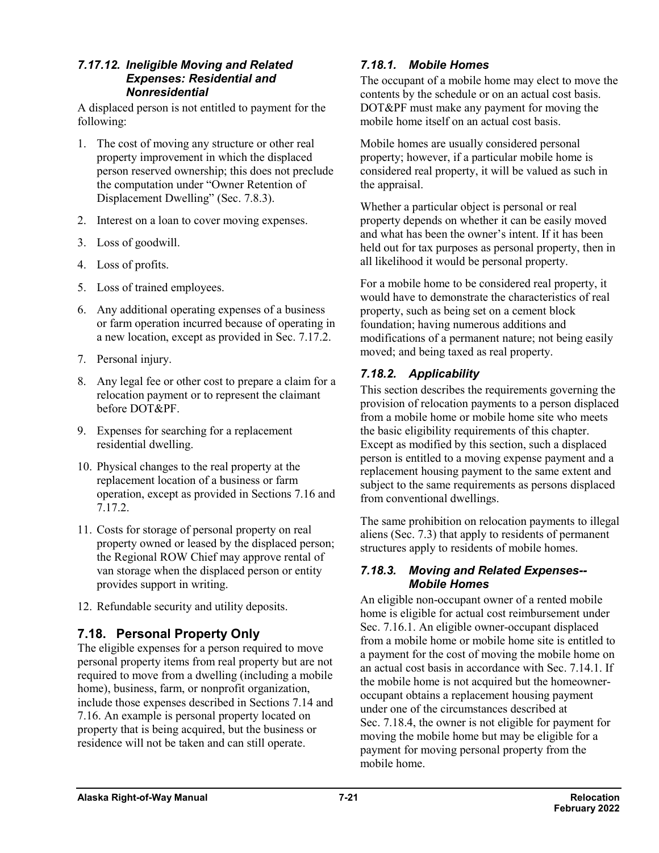#### *7.17.12. Ineligible Moving and Related Expenses: Residential and Nonresidential*

A displaced person is not entitled to payment for the following:

- 1. The cost of moving any structure or other real property improvement in which the displaced person reserved ownership; this does not preclude the computation under "Owner Retention of Displacement Dwelling" (Sec. 7.8.3).
- 2. Interest on a loan to cover moving expenses.
- 3. Loss of goodwill.
- 4. Loss of profits.
- 5. Loss of trained employees.
- 6. Any additional operating expenses of a business or farm operation incurred because of operating in a new location, except as provided in Sec. 7.17.2.
- 7. Personal injury.
- 8. Any legal fee or other cost to prepare a claim for a relocation payment or to represent the claimant before DOT&PF.
- 9. Expenses for searching for a replacement residential dwelling.
- 10. Physical changes to the real property at the replacement location of a business or farm operation, except as provided in Sections 7.16 and 7.17.2.
- 11. Costs for storage of personal property on real property owned or leased by the displaced person; the Regional ROW Chief may approve rental of van storage when the displaced person or entity provides support in writing.
- 12. Refundable security and utility deposits.

# **7.18. Personal Property Only**

The eligible expenses for a person required to move personal property items from real property but are not required to move from a dwelling (including a mobile home), business, farm, or nonprofit organization, include those expenses described in Sections 7.14 and 7.16. An example is personal property located on property that is being acquired, but the business or residence will not be taken and can still operate.

### *7.18.1. Mobile Homes*

The occupant of a mobile home may elect to move the contents by the schedule or on an actual cost basis. DOT&PF must make any payment for moving the mobile home itself on an actual cost basis.

Mobile homes are usually considered personal property; however, if a particular mobile home is considered real property, it will be valued as such in the appraisal.

Whether a particular object is personal or real property depends on whether it can be easily moved and what has been the owner's intent. If it has been held out for tax purposes as personal property, then in all likelihood it would be personal property.

For a mobile home to be considered real property, it would have to demonstrate the characteristics of real property, such as being set on a cement block foundation; having numerous additions and modifications of a permanent nature; not being easily moved; and being taxed as real property.

### *7.18.2. Applicability*

This section describes the requirements governing the provision of relocation payments to a person displaced from a mobile home or mobile home site who meets the basic eligibility requirements of this chapter. Except as modified by this section, such a displaced person is entitled to a moving expense payment and a replacement housing payment to the same extent and subject to the same requirements as persons displaced from conventional dwellings.

The same prohibition on relocation payments to illegal aliens (Sec. 7.3) that apply to residents of permanent structures apply to residents of mobile homes.

#### *7.18.3. Moving and Related Expenses-- Mobile Homes*

An eligible non-occupant owner of a rented mobile home is eligible for actual cost reimbursement under Sec. 7.16.1. An eligible owner-occupant displaced from a mobile home or mobile home site is entitled to a payment for the cost of moving the mobile home on an actual cost basis in accordance with Sec. 7.14.1. If the mobile home is not acquired but the homeowneroccupant obtains a replacement housing payment under one of the circumstances described at Sec. 7.18.4, the owner is not eligible for payment for moving the mobile home but may be eligible for a payment for moving personal property from the mobile home.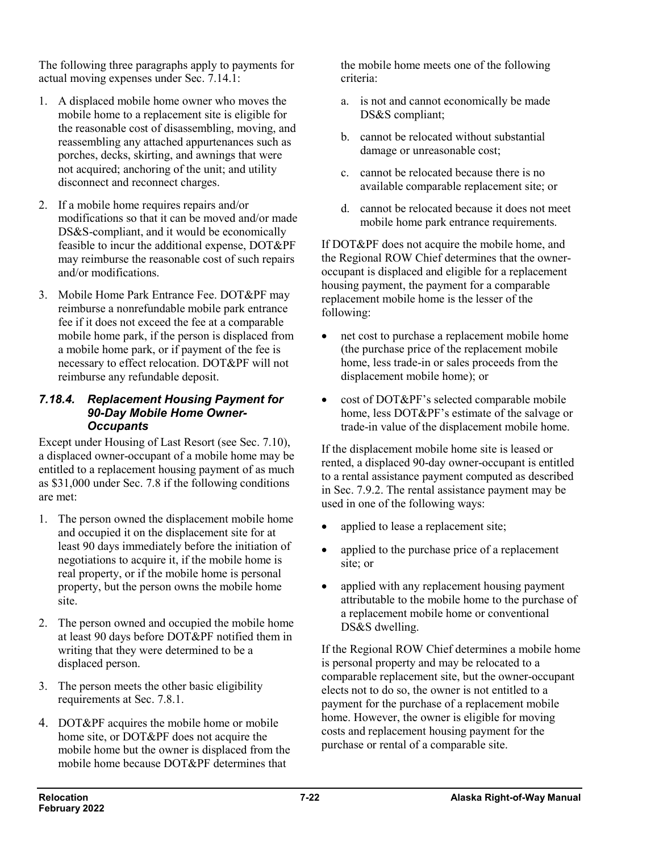The following three paragraphs apply to payments for actual moving expenses under Sec. 7.14.1:

- 1. A displaced mobile home owner who moves the mobile home to a replacement site is eligible for the reasonable cost of disassembling, moving, and reassembling any attached appurtenances such as porches, decks, skirting, and awnings that were not acquired; anchoring of the unit; and utility disconnect and reconnect charges.
- 2. If a mobile home requires repairs and/or modifications so that it can be moved and/or made DS&S-compliant, and it would be economically feasible to incur the additional expense, DOT&PF may reimburse the reasonable cost of such repairs and/or modifications.
- 3. Mobile Home Park Entrance Fee. DOT&PF may reimburse a nonrefundable mobile park entrance fee if it does not exceed the fee at a comparable mobile home park, if the person is displaced from a mobile home park, or if payment of the fee is necessary to effect relocation. DOT&PF will not reimburse any refundable deposit.

#### *7.18.4. Replacement Housing Payment for 90-Day Mobile Home Owner-Occupants*

Except under Housing of Last Resort (see Sec. 7.10), a displaced owner-occupant of a mobile home may be entitled to a replacement housing payment of as much as \$31,000 under Sec. 7.8 if the following conditions are met:

- 1. The person owned the displacement mobile home and occupied it on the displacement site for at least 90 days immediately before the initiation of negotiations to acquire it, if the mobile home is real property, or if the mobile home is personal property, but the person owns the mobile home site.
- 2. The person owned and occupied the mobile home at least 90 days before DOT&PF notified them in writing that they were determined to be a displaced person.
- 3. The person meets the other basic eligibility requirements at Sec. 7.8.1.
- 4. DOT&PF acquires the mobile home or mobile home site, or DOT&PF does not acquire the mobile home but the owner is displaced from the mobile home because DOT&PF determines that

the mobile home meets one of the following criteria:

- a. is not and cannot economically be made DS&S compliant;
- b. cannot be relocated without substantial damage or unreasonable cost;
- c. cannot be relocated because there is no available comparable replacement site; or
- d. cannot be relocated because it does not meet mobile home park entrance requirements.

If DOT&PF does not acquire the mobile home, and the Regional ROW Chief determines that the owneroccupant is displaced and eligible for a replacement housing payment, the payment for a comparable replacement mobile home is the lesser of the following:

- net cost to purchase a replacement mobile home (the purchase price of the replacement mobile home, less trade-in or sales proceeds from the displacement mobile home); or
- cost of DOT&PF's selected comparable mobile home, less DOT&PF's estimate of the salvage or trade-in value of the displacement mobile home.

If the displacement mobile home site is leased or rented, a displaced 90-day owner-occupant is entitled to a rental assistance payment computed as described in Sec. 7.9.2. The rental assistance payment may be used in one of the following ways:

- applied to lease a replacement site;
- applied to the purchase price of a replacement site; or
- applied with any replacement housing payment attributable to the mobile home to the purchase of a replacement mobile home or conventional DS&S dwelling.

If the Regional ROW Chief determines a mobile home is personal property and may be relocated to a comparable replacement site, but the owner-occupant elects not to do so, the owner is not entitled to a payment for the purchase of a replacement mobile home. However, the owner is eligible for moving costs and replacement housing payment for the purchase or rental of a comparable site.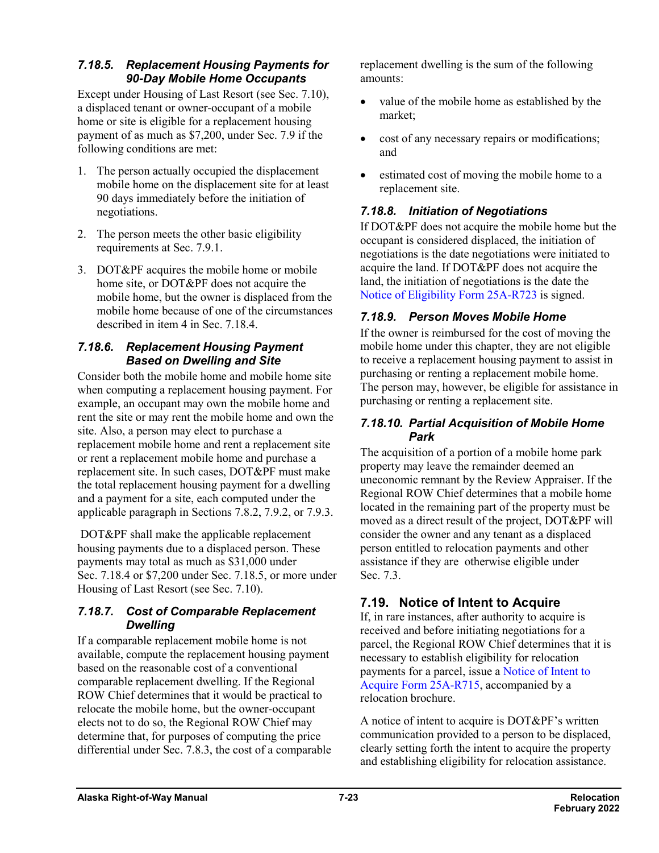#### *7.18.5. Replacement Housing Payments for 90-Day Mobile Home Occupants*

Except under Housing of Last Resort (see Sec. 7.10), a displaced tenant or owner-occupant of a mobile home or site is eligible for a replacement housing payment of as much as \$7,200, under Sec. 7.9 if the following conditions are met:

- 1. The person actually occupied the displacement mobile home on the displacement site for at least 90 days immediately before the initiation of negotiations.
- 2. The person meets the other basic eligibility requirements at Sec. 7.9.1.
- 3. DOT&PF acquires the mobile home or mobile home site, or DOT&PF does not acquire the mobile home, but the owner is displaced from the mobile home because of one of the circumstances described in item 4 in Sec. 7.18.4.

#### *7.18.6. Replacement Housing Payment Based on Dwelling and Site*

Consider both the mobile home and mobile home site when computing a replacement housing payment. For example, an occupant may own the mobile home and rent the site or may rent the mobile home and own the site. Also, a person may elect to purchase a replacement mobile home and rent a replacement site or rent a replacement mobile home and purchase a replacement site. In such cases, DOT&PF must make the total replacement housing payment for a dwelling and a payment for a site, each computed under the applicable paragraph in Sections 7.8.2, 7.9.2, or 7.9.3.

DOT&PF shall make the applicable replacement housing payments due to a displaced person. These payments may total as much as \$31,000 under Sec. 7.18.4 or \$7,200 under Sec. 7.18.5, or more under Housing of Last Resort (see Sec. 7.10).

#### *7.18.7. Cost of Comparable Replacement Dwelling*

If a comparable replacement mobile home is not available, compute the replacement housing payment based on the reasonable cost of a conventional comparable replacement dwelling. If the Regional ROW Chief determines that it would be practical to relocate the mobile home, but the owner-occupant elects not to do so, the Regional ROW Chief may determine that, for purposes of computing the price differential under Sec. 7.8.3, the cost of a comparable replacement dwelling is the sum of the following amounts:

- value of the mobile home as established by the market;
- cost of any necessary repairs or modifications; and
- estimated cost of moving the mobile home to a replacement site.

### *7.18.8. Initiation of Negotiations*

If DOT&PF does not acquire the mobile home but the occupant is considered displaced, the initiation of negotiations is the date negotiations were initiated to acquire the land. If DOT&PF does not acquire the land, the initiation of negotiations is the date the [Notice of Eligibility Form](http://www.dot.state.ak.us/stwddes/dcsrow/assets/pdf/forms/25ar723.pdf) 25A-R723 is signed.

### *7.18.9. Person Moves Mobile Home*

If the owner is reimbursed for the cost of moving the mobile home under this chapter, they are not eligible to receive a replacement housing payment to assist in purchasing or renting a replacement mobile home. The person may, however, be eligible for assistance in purchasing or renting a replacement site.

#### *7.18.10. Partial Acquisition of Mobile Home Park*

The acquisition of a portion of a mobile home park property may leave the remainder deemed an uneconomic remnant by the Review Appraiser. If the Regional ROW Chief determines that a mobile home located in the remaining part of the property must be moved as a direct result of the project, DOT&PF will consider the owner and any tenant as a displaced person entitled to relocation payments and other assistance if they are otherwise eligible under Sec. 7.3.

# **7.19. Notice of Intent to Acquire**

If, in rare instances, after authority to acquire is received and before initiating negotiations for a parcel, the Regional ROW Chief determines that it is necessary to establish eligibility for relocation payments for a parcel, issue a [Notice of Intent to](http://www.dot.state.ak.us/stwddes/dcsrow/assets/pdf/forms/25ar715.pdf)  [Acquire Form](http://www.dot.state.ak.us/stwddes/dcsrow/assets/pdf/forms/25ar715.pdf) 25A-R715, accompanied by a relocation brochure.

A notice of intent to acquire is DOT&PF's written communication provided to a person to be displaced, clearly setting forth the intent to acquire the property and establishing eligibility for relocation assistance.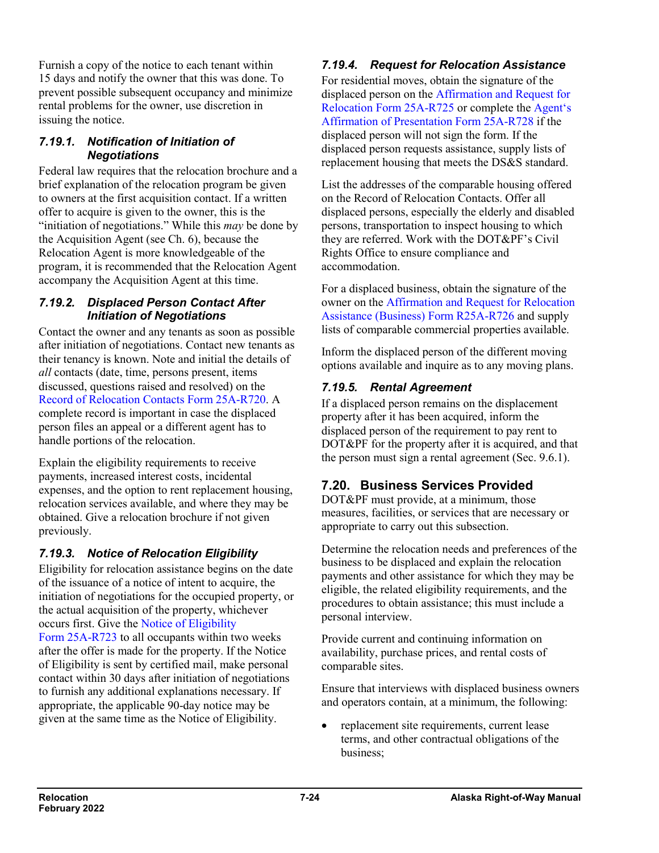Furnish a copy of the notice to each tenant within 15 days and notify the owner that this was done. To prevent possible subsequent occupancy and minimize rental problems for the owner, use discretion in issuing the notice.

#### *7.19.1. Notification of Initiation of Negotiations*

Federal law requires that the relocation brochure and a brief explanation of the relocation program be given to owners at the first acquisition contact. If a written offer to acquire is given to the owner, this is the "initiation of negotiations." While this *may* be done by the Acquisition Agent (see Ch. 6), because the Relocation Agent is more knowledgeable of the program, it is recommended that the Relocation Agent accompany the Acquisition Agent at this time.

#### *7.19.2. Displaced Person Contact After Initiation of Negotiations*

Contact the owner and any tenants as soon as possible after initiation of negotiations. Contact new tenants as their tenancy is known. Note and initial the details of *all* contacts (date, time, persons present, items discussed, questions raised and resolved) on the [Record of Relocation Contacts Form](http://www.dot.state.ak.us/stwddes/dcsrow/assets/pdf/forms/25ar720.pdf) 25A-R720. A complete record is important in case the displaced person files an appeal or a different agent has to handle portions of the relocation.

Explain the eligibility requirements to receive payments, increased interest costs, incidental expenses, and the option to rent replacement housing, relocation services available, and where they may be obtained. Give a relocation brochure if not given previously.

# *7.19.3. Notice of Relocation Eligibility*

Eligibility for relocation assistance begins on the date of the issuance of a notice of intent to acquire, the initiation of negotiations for the occupied property, or the actual acquisition of the property, whichever occurs first. Give the [Notice of Eligibility](http://www.dot.state.ak.us/stwddes/dcsrow/assets/pdf/forms/25ar723.pdf) Form [25A-R723](http://www.dot.state.ak.us/stwddes/dcsrow/assets/pdf/forms/25ar723.pdf) to all occupants within two weeks after the offer is made for the property. If the Notice of Eligibility is sent by certified mail, make personal contact within 30 days after initiation of negotiations to furnish any additional explanations necessary. If appropriate, the applicable 90-day notice may be given at the same time as the Notice of Eligibility.

# *7.19.4. Request for Relocation Assistance*

For residential moves, obtain the signature of the displaced person on the [Affirmation and Request for](http://www.dot.state.ak.us/stwddes/dcsrow/assets/pdf/forms/25ar725.pdf) [Relocation Form](http://www.dot.state.ak.us/stwddes/dcsrow/assets/pdf/forms/25ar725.pdf) 25A-R725 or complete the [Agent's](http://www.dot.state.ak.us/stwddes/dcsrow/assets/pdf/forms/25ar728.pdf)  [Affirmation of Presentation Form](http://www.dot.state.ak.us/stwddes/dcsrow/assets/pdf/forms/25ar728.pdf) 25A-R728 if the displaced person will not sign the form. If the displaced person requests assistance, supply lists of replacement housing that meets the DS&S standard.

List the addresses of the comparable housing offered on the Record of Relocation Contacts. Offer all displaced persons, especially the elderly and disabled persons, transportation to inspect housing to which they are referred. Work with the DOT&PF's Civil Rights Office to ensure compliance and accommodation.

For a displaced business, obtain the signature of the owner on the [Affirmation and Request for Relocation](http://www.dot.state.ak.us/stwddes/dcsrow/assets/pdf/forms/25ar726.pdf)  [Assistance \(Business\)](http://www.dot.state.ak.us/stwddes/dcsrow/assets/pdf/forms/25ar726.pdf) Form R25A-R726 and supply lists of comparable commercial properties available.

Inform the displaced person of the different moving options available and inquire as to any moving plans.

### *7.19.5. Rental Agreement*

If a displaced person remains on the displacement property after it has been acquired, inform the displaced person of the requirement to pay rent to DOT&PF for the property after it is acquired, and that the person must sign a rental agreement (Sec. 9.6.1).

# **7.20. Business Services Provided**

DOT&PF must provide, at a minimum, those measures, facilities, or services that are necessary or appropriate to carry out this subsection.

Determine the relocation needs and preferences of the business to be displaced and explain the relocation payments and other assistance for which they may be eligible, the related eligibility requirements, and the procedures to obtain assistance; this must include a personal interview.

Provide current and continuing information on availability, purchase prices, and rental costs of comparable sites.

Ensure that interviews with displaced business owners and operators contain, at a minimum, the following:

replacement site requirements, current lease terms, and other contractual obligations of the business;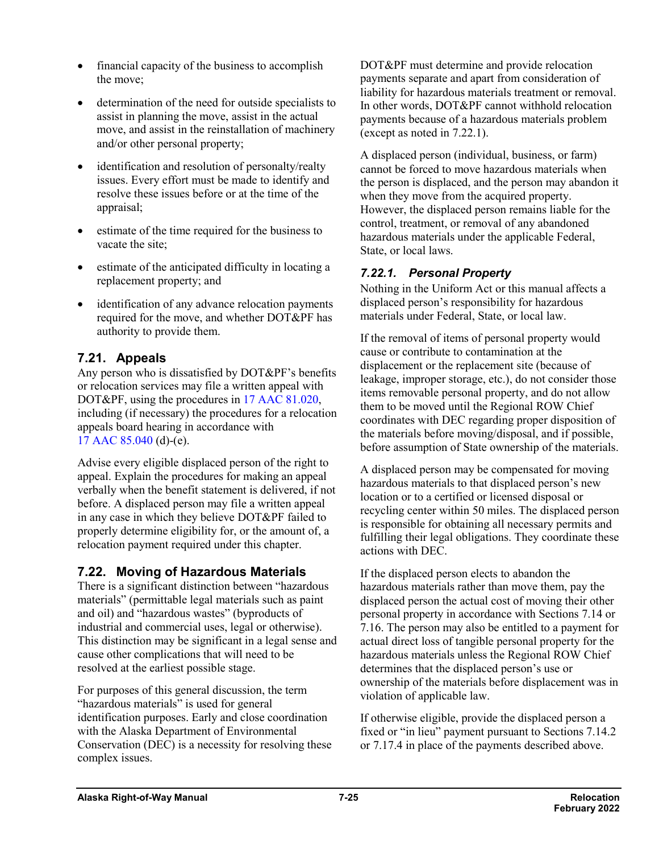- financial capacity of the business to accomplish the move;
- determination of the need for outside specialists to assist in planning the move, assist in the actual move, and assist in the reinstallation of machinery and/or other personal property;
- identification and resolution of personalty/realty issues. Every effort must be made to identify and resolve these issues before or at the time of the appraisal;
- estimate of the time required for the business to vacate the site;
- estimate of the anticipated difficulty in locating a replacement property; and
- identification of any advance relocation payments required for the move, and whether DOT&PF has authority to provide them.

# **7.21. Appeals**

Any person who is dissatisfied by DOT&PF's benefits or relocation services may file a written appeal with DOT&PF, using the procedures in 17 AAC [81.020,](http://www.akleg.gov/basis/aac.asp#17.81.020) including (if necessary) the procedures for a relocation appeals board hearing in accordance with 17 AAC [85.040](http://www.akleg.gov/basis/aac.asp#17.85.040) (d)-(e).

Advise every eligible displaced person of the right to appeal. Explain the procedures for making an appeal verbally when the benefit statement is delivered, if not before. A displaced person may file a written appeal in any case in which they believe DOT&PF failed to properly determine eligibility for, or the amount of, a relocation payment required under this chapter.

# **7.22. Moving of Hazardous Materials**

There is a significant distinction between "hazardous materials" (permittable legal materials such as paint and oil) and "hazardous wastes" (byproducts of industrial and commercial uses, legal or otherwise). This distinction may be significant in a legal sense and cause other complications that will need to be resolved at the earliest possible stage.

For purposes of this general discussion, the term "hazardous materials" is used for general identification purposes. Early and close coordination with the Alaska Department of Environmental Conservation (DEC) is a necessity for resolving these complex issues.

DOT&PF must determine and provide relocation payments separate and apart from consideration of liability for hazardous materials treatment or removal. In other words, DOT&PF cannot withhold relocation payments because of a hazardous materials problem (except as noted in 7.22.1).

A displaced person (individual, business, or farm) cannot be forced to move hazardous materials when the person is displaced, and the person may abandon it when they move from the acquired property. However, the displaced person remains liable for the control, treatment, or removal of any abandoned hazardous materials under the applicable Federal, State, or local laws.

### *7.22.1. Personal Property*

Nothing in the Uniform Act or this manual affects a displaced person's responsibility for hazardous materials under Federal, State, or local law.

If the removal of items of personal property would cause or contribute to contamination at the displacement or the replacement site (because of leakage, improper storage, etc.), do not consider those items removable personal property, and do not allow them to be moved until the Regional ROW Chief coordinates with DEC regarding proper disposition of the materials before moving/disposal, and if possible, before assumption of State ownership of the materials.

A displaced person may be compensated for moving hazardous materials to that displaced person's new location or to a certified or licensed disposal or recycling center within 50 miles. The displaced person is responsible for obtaining all necessary permits and fulfilling their legal obligations. They coordinate these actions with DEC.

If the displaced person elects to abandon the hazardous materials rather than move them, pay the displaced person the actual cost of moving their other personal property in accordance with Sections 7.14 or 7.16. The person may also be entitled to a payment for actual direct loss of tangible personal property for the hazardous materials unless the Regional ROW Chief determines that the displaced person's use or ownership of the materials before displacement was in violation of applicable law.

If otherwise eligible, provide the displaced person a fixed or "in lieu" payment pursuant to Sections 7.14.2 or 7.17.4 in place of the payments described above.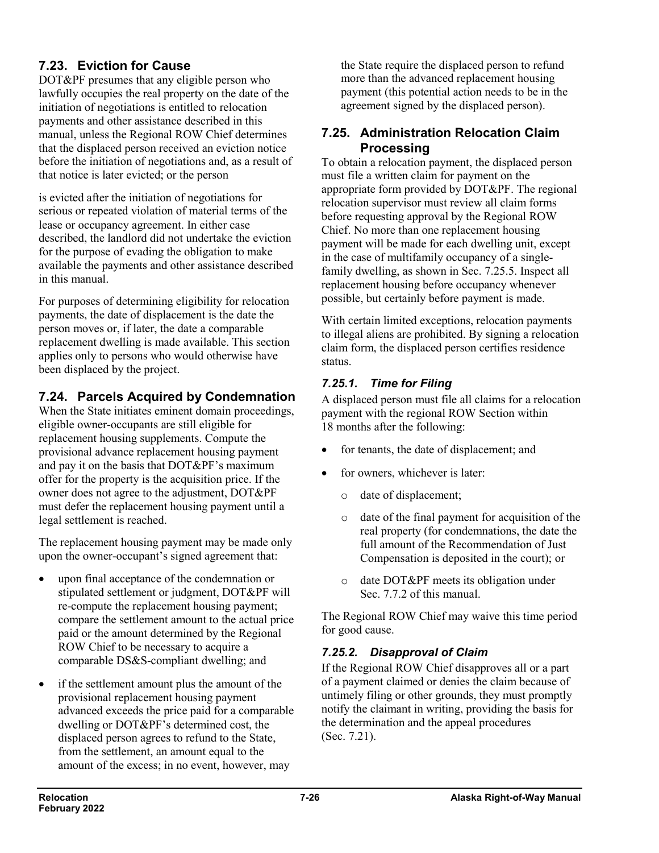# **7.23. Eviction for Cause**

DOT&PF presumes that any eligible person who lawfully occupies the real property on the date of the initiation of negotiations is entitled to relocation payments and other assistance described in this manual, unless the Regional ROW Chief determines that the displaced person received an eviction notice before the initiation of negotiations and, as a result of that notice is later evicted; or the person

is evicted after the initiation of negotiations for serious or repeated violation of material terms of the lease or occupancy agreement. In either case described, the landlord did not undertake the eviction for the purpose of evading the obligation to make available the payments and other assistance described in this manual.

For purposes of determining eligibility for relocation payments, the date of displacement is the date the person moves or, if later, the date a comparable replacement dwelling is made available. This section applies only to persons who would otherwise have been displaced by the project.

# **7.24. Parcels Acquired by Condemnation**

When the State initiates eminent domain proceedings, eligible owner-occupants are still eligible for replacement housing supplements. Compute the provisional advance replacement housing payment and pay it on the basis that DOT&PF's maximum offer for the property is the acquisition price. If the owner does not agree to the adjustment, DOT&PF must defer the replacement housing payment until a legal settlement is reached.

The replacement housing payment may be made only upon the owner-occupant's signed agreement that:

- upon final acceptance of the condemnation or stipulated settlement or judgment, DOT&PF will re-compute the replacement housing payment; compare the settlement amount to the actual price paid or the amount determined by the Regional ROW Chief to be necessary to acquire a comparable DS&S-compliant dwelling; and
- if the settlement amount plus the amount of the provisional replacement housing payment advanced exceeds the price paid for a comparable dwelling or DOT&PF's determined cost, the displaced person agrees to refund to the State, from the settlement, an amount equal to the amount of the excess; in no event, however, may

the State require the displaced person to refund more than the advanced replacement housing payment (this potential action needs to be in the agreement signed by the displaced person).

### **7.25. Administration Relocation Claim Processing**

To obtain a relocation payment, the displaced person must file a written claim for payment on the appropriate form provided by DOT&PF. The regional relocation supervisor must review all claim forms before requesting approval by the Regional ROW Chief. No more than one replacement housing payment will be made for each dwelling unit, except in the case of multifamily occupancy of a singlefamily dwelling, as shown in Sec. 7.25.5. Inspect all replacement housing before occupancy whenever possible, but certainly before payment is made.

With certain limited exceptions, relocation payments to illegal aliens are prohibited. By signing a relocation claim form, the displaced person certifies residence status.

# *7.25.1. Time for Filing*

A displaced person must file all claims for a relocation payment with the regional ROW Section within 18 months after the following:

- for tenants, the date of displacement; and
- for owners, whichever is later:
	- o date of displacement;
	- o date of the final payment for acquisition of the real property (for condemnations, the date the full amount of the Recommendation of Just Compensation is deposited in the court); or
	- o date DOT&PF meets its obligation under Sec. 7.7.2 of this manual.

The Regional ROW Chief may waive this time period for good cause.

# *7.25.2. Disapproval of Claim*

If the Regional ROW Chief disapproves all or a part of a payment claimed or denies the claim because of untimely filing or other grounds, they must promptly notify the claimant in writing, providing the basis for the determination and the appeal procedures (Sec. 7.21).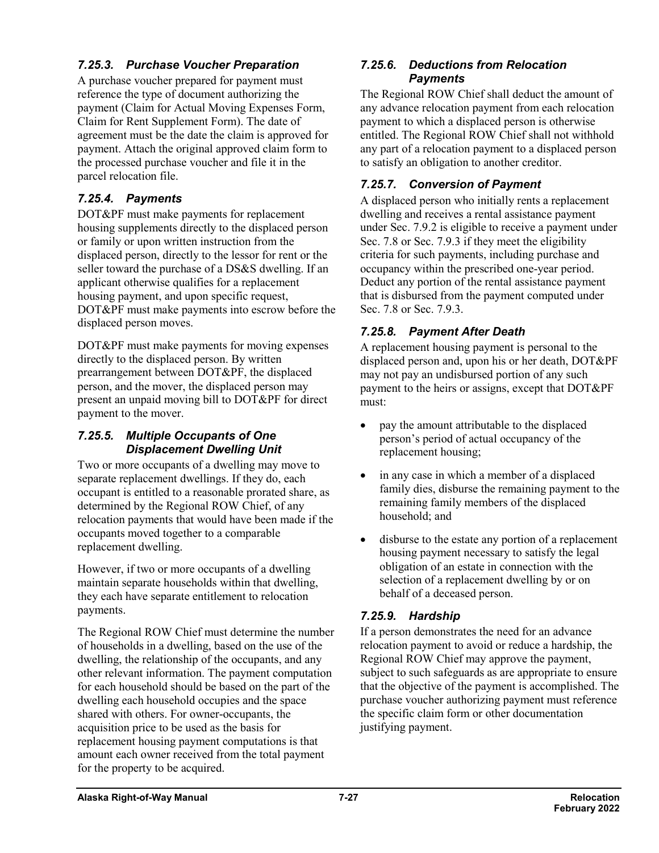### *7.25.3. Purchase Voucher Preparation*

A purchase voucher prepared for payment must reference the type of document authorizing the payment (Claim for Actual Moving Expenses Form, Claim for Rent Supplement Form). The date of agreement must be the date the claim is approved for payment. Attach the original approved claim form to the processed purchase voucher and file it in the parcel relocation file.

### *7.25.4. Payments*

DOT&PF must make payments for replacement housing supplements directly to the displaced person or family or upon written instruction from the displaced person, directly to the lessor for rent or the seller toward the purchase of a DS&S dwelling. If an applicant otherwise qualifies for a replacement housing payment, and upon specific request, DOT&PF must make payments into escrow before the displaced person moves.

DOT&PF must make payments for moving expenses directly to the displaced person. By written prearrangement between DOT&PF, the displaced person, and the mover, the displaced person may present an unpaid moving bill to DOT&PF for direct payment to the mover.

#### *7.25.5. Multiple Occupants of One Displacement Dwelling Unit*

Two or more occupants of a dwelling may move to separate replacement dwellings. If they do, each occupant is entitled to a reasonable prorated share, as determined by the Regional ROW Chief, of any relocation payments that would have been made if the occupants moved together to a comparable replacement dwelling.

However, if two or more occupants of a dwelling maintain separate households within that dwelling, they each have separate entitlement to relocation payments.

The Regional ROW Chief must determine the number of households in a dwelling, based on the use of the dwelling, the relationship of the occupants, and any other relevant information. The payment computation for each household should be based on the part of the dwelling each household occupies and the space shared with others. For owner-occupants, the acquisition price to be used as the basis for replacement housing payment computations is that amount each owner received from the total payment for the property to be acquired.

#### *7.25.6. Deductions from Relocation Payments*

The Regional ROW Chief shall deduct the amount of any advance relocation payment from each relocation payment to which a displaced person is otherwise entitled. The Regional ROW Chief shall not withhold any part of a relocation payment to a displaced person to satisfy an obligation to another creditor.

### *7.25.7. Conversion of Payment*

A displaced person who initially rents a replacement dwelling and receives a rental assistance payment under Sec. 7.9.2 is eligible to receive a payment under Sec. 7.8 or Sec. 7.9.3 if they meet the eligibility criteria for such payments, including purchase and occupancy within the prescribed one-year period. Deduct any portion of the rental assistance payment that is disbursed from the payment computed under Sec. 7.8 or Sec. 7.9.3.

### *7.25.8. Payment After Death*

A replacement housing payment is personal to the displaced person and, upon his or her death, DOT&PF may not pay an undisbursed portion of any such payment to the heirs or assigns, except that DOT&PF must:

- pay the amount attributable to the displaced person's period of actual occupancy of the replacement housing;
- in any case in which a member of a displaced family dies, disburse the remaining payment to the remaining family members of the displaced household; and
- disburse to the estate any portion of a replacement housing payment necessary to satisfy the legal obligation of an estate in connection with the selection of a replacement dwelling by or on behalf of a deceased person.

### *7.25.9. Hardship*

If a person demonstrates the need for an advance relocation payment to avoid or reduce a hardship, the Regional ROW Chief may approve the payment, subject to such safeguards as are appropriate to ensure that the objective of the payment is accomplished. The purchase voucher authorizing payment must reference the specific claim form or other documentation justifying payment.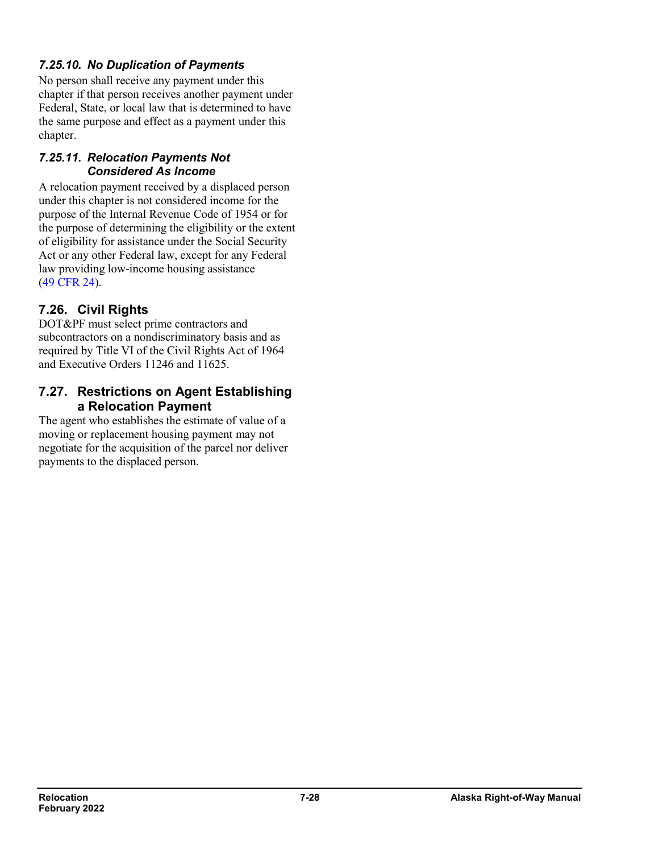### *7.25.10. No Duplication of Payments*

No person shall receive any payment under this chapter if that person receives another payment under Federal, State, or local law that is determined to have the same purpose and effect as a payment under this chapter.

#### *7.25.11. Relocation Payments Not Considered As Income*

A relocation payment received by a displaced person under this chapter is not considered income for the purpose of the Internal Revenue Code of 1954 or for the purpose of determining the eligibility or the extent of eligibility for assistance under the Social Security Act or any other Federal law, except for any Federal law providing low-income housing assistance (49 [CFR](https://www.ecfr.gov/cgi-bin/retrieveECFR?gp=&SID=ef0cebd3b0b75e730b23dc09a695eaf6&mc=true&n=pt49.1.24&r=PART&ty=HTML) 24).

# **7.26. Civil Rights**

DOT&PF must select prime contractors and subcontractors on a nondiscriminatory basis and as required by Title VI of the Civil Rights Act of 1964 and Executive Orders 11246 and 11625.

#### **7.27. Restrictions on Agent Establishing a Relocation Payment**

The agent who establishes the estimate of value of a moving or replacement housing payment may not negotiate for the acquisition of the parcel nor deliver payments to the displaced person.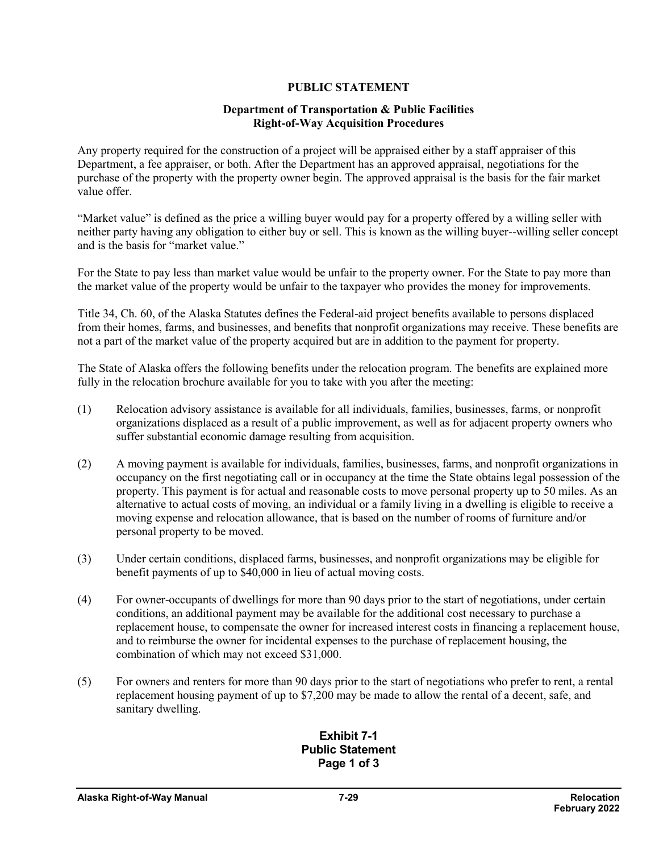#### **PUBLIC STATEMENT**

#### **Department of Transportation & Public Facilities Right-of-Way Acquisition Procedures**

Any property required for the construction of a project will be appraised either by a staff appraiser of this Department, a fee appraiser, or both. After the Department has an approved appraisal, negotiations for the purchase of the property with the property owner begin. The approved appraisal is the basis for the fair market value offer.

"Market value" is defined as the price a willing buyer would pay for a property offered by a willing seller with neither party having any obligation to either buy or sell. This is known as the willing buyer--willing seller concept and is the basis for "market value."

For the State to pay less than market value would be unfair to the property owner. For the State to pay more than the market value of the property would be unfair to the taxpayer who provides the money for improvements.

Title 34, Ch. 60, of the Alaska Statutes defines the Federal-aid project benefits available to persons displaced from their homes, farms, and businesses, and benefits that nonprofit organizations may receive. These benefits are not a part of the market value of the property acquired but are in addition to the payment for property.

The State of Alaska offers the following benefits under the relocation program. The benefits are explained more fully in the relocation brochure available for you to take with you after the meeting:

- (1) Relocation advisory assistance is available for all individuals, families, businesses, farms, or nonprofit organizations displaced as a result of a public improvement, as well as for adjacent property owners who suffer substantial economic damage resulting from acquisition.
- (2) A moving payment is available for individuals, families, businesses, farms, and nonprofit organizations in occupancy on the first negotiating call or in occupancy at the time the State obtains legal possession of the property. This payment is for actual and reasonable costs to move personal property up to 50 miles. As an alternative to actual costs of moving, an individual or a family living in a dwelling is eligible to receive a moving expense and relocation allowance, that is based on the number of rooms of furniture and/or personal property to be moved.
- (3) Under certain conditions, displaced farms, businesses, and nonprofit organizations may be eligible for benefit payments of up to \$40,000 in lieu of actual moving costs.
- (4) For owner-occupants of dwellings for more than 90 days prior to the start of negotiations, under certain conditions, an additional payment may be available for the additional cost necessary to purchase a replacement house, to compensate the owner for increased interest costs in financing a replacement house, and to reimburse the owner for incidental expenses to the purchase of replacement housing, the combination of which may not exceed \$31,000.
- (5) For owners and renters for more than 90 days prior to the start of negotiations who prefer to rent, a rental replacement housing payment of up to \$7,200 may be made to allow the rental of a decent, safe, and sanitary dwelling.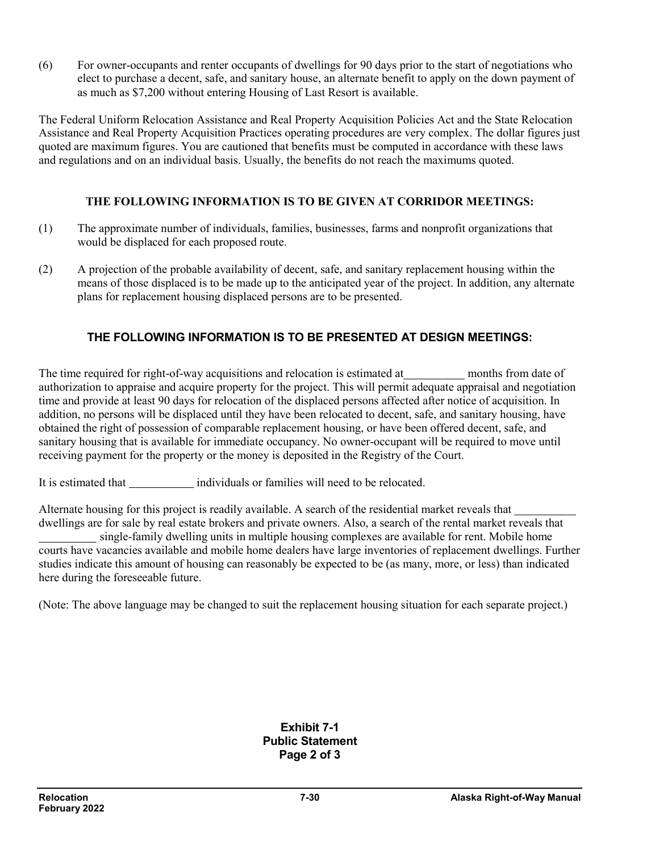(6) For owner-occupants and renter occupants of dwellings for 90 days prior to the start of negotiations who elect to purchase a decent, safe, and sanitary house, an alternate benefit to apply on the down payment of as much as \$7,200 without entering Housing of Last Resort is available.

The Federal Uniform Relocation Assistance and Real Property Acquisition Policies Act and the State Relocation Assistance and Real Property Acquisition Practices operating procedures are very complex. The dollar figures just quoted are maximum figures. You are cautioned that benefits must be computed in accordance with these laws and regulations and on an individual basis. Usually, the benefits do not reach the maximums quoted.

#### **THE FOLLOWING INFORMATION IS TO BE GIVEN AT CORRIDOR MEETINGS:**

- (1) The approximate number of individuals, families, businesses, farms and nonprofit organizations that would be displaced for each proposed route.
- (2) A projection of the probable availability of decent, safe, and sanitary replacement housing within the means of those displaced is to be made up to the anticipated year of the project. In addition, any alternate plans for replacement housing displaced persons are to be presented.

### **THE FOLLOWING INFORMATION IS TO BE PRESENTED AT DESIGN MEETINGS:**

The time required for right-of-way acquisitions and relocation is estimated at months from date of authorization to appraise and acquire property for the project. This will permit adequate appraisal and negotiation time and provide at least 90 days for relocation of the displaced persons affected after notice of acquisition. In addition, no persons will be displaced until they have been relocated to decent, safe, and sanitary housing, have obtained the right of possession of comparable replacement housing, or have been offered decent, safe, and sanitary housing that is available for immediate occupancy. No owner-occupant will be required to move until receiving payment for the property or the money is deposited in the Registry of the Court.

It is estimated that individuals or families will need to be relocated.

Alternate housing for this project is readily available. A search of the residential market reveals that dwellings are for sale by real estate brokers and private owners. Also, a search of the rental market reveals that single-family dwelling units in multiple housing complexes are available for rent. Mobile home courts have vacancies available and mobile home dealers have large inventories of replacement dwellings. Further studies indicate this amount of housing can reasonably be expected to be (as many, more, or less) than indicated here during the foreseeable future.

(Note: The above language may be changed to suit the replacement housing situation for each separate project.)

**Exhibit 7-1 Public Statement Page 2 of 3**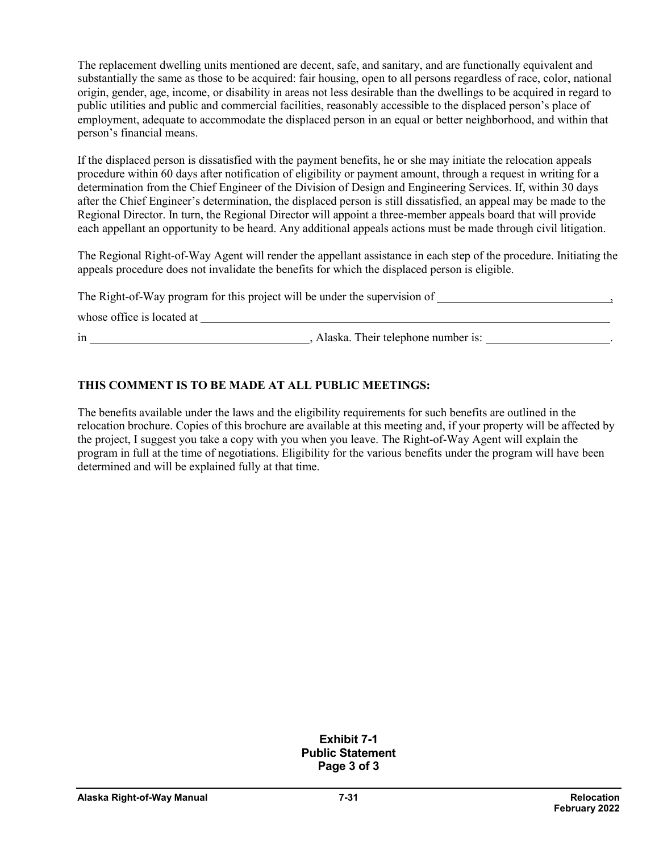The replacement dwelling units mentioned are decent, safe, and sanitary, and are functionally equivalent and substantially the same as those to be acquired: fair housing, open to all persons regardless of race, color, national origin, gender, age, income, or disability in areas not less desirable than the dwellings to be acquired in regard to public utilities and public and commercial facilities, reasonably accessible to the displaced person's place of employment, adequate to accommodate the displaced person in an equal or better neighborhood, and within that person's financial means.

If the displaced person is dissatisfied with the payment benefits, he or she may initiate the relocation appeals procedure within 60 days after notification of eligibility or payment amount, through a request in writing for a determination from the Chief Engineer of the Division of Design and Engineering Services. If, within 30 days after the Chief Engineer's determination, the displaced person is still dissatisfied, an appeal may be made to the Regional Director. In turn, the Regional Director will appoint a three-member appeals board that will provide each appellant an opportunity to be heard. Any additional appeals actions must be made through civil litigation.

The Regional Right-of-Way Agent will render the appellant assistance in each step of the procedure. Initiating the appeals procedure does not invalidate the benefits for which the displaced person is eligible.

The Right-of-Way program for this project will be under the supervision of  $\overline{\phantom{a}}$ ,

whose office is located at

in , Alaska. Their telephone number is: .

#### **THIS COMMENT IS TO BE MADE AT ALL PUBLIC MEETINGS:**

The benefits available under the laws and the eligibility requirements for such benefits are outlined in the relocation brochure. Copies of this brochure are available at this meeting and, if your property will be affected by the project, I suggest you take a copy with you when you leave. The Right-of-Way Agent will explain the program in full at the time of negotiations. Eligibility for the various benefits under the program will have been determined and will be explained fully at that time.

> **Exhibit 7-1 Public Statement Page 3 of 3**